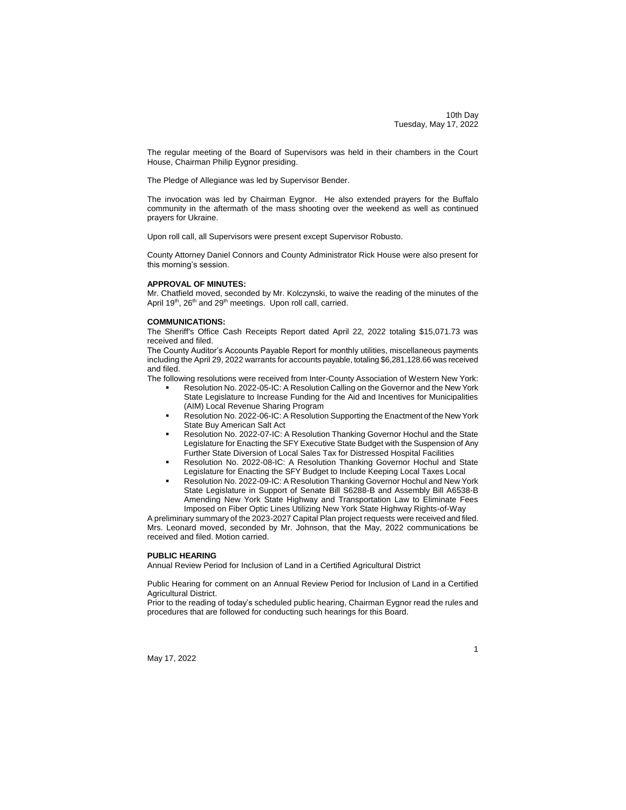10th Day Tuesday, May 17, 2022

1

The regular meeting of the Board of Supervisors was held in their chambers in the Court House, Chairman Philip Eygnor presiding.

The Pledge of Allegiance was led by Supervisor Bender.

The invocation was led by Chairman Eygnor. He also extended prayers for the Buffalo community in the aftermath of the mass shooting over the weekend as well as continued prayers for Ukraine.

Upon roll call, all Supervisors were present except Supervisor Robusto.

County Attorney Daniel Connors and County Administrator Rick House were also present for this morning's session.

#### **APPROVAL OF MINUTES:**

Mr. Chatfield moved, seconded by Mr. Kolczynski, to waive the reading of the minutes of the April 19<sup>th</sup>, 26<sup>th</sup> and 29<sup>th</sup> meetings. Upon roll call, carried.

#### **COMMUNICATIONS:**

The Sheriff's Office Cash Receipts Report dated April 22, 2022 totaling \$15,071.73 was received and filed.

The County Auditor's Accounts Payable Report for monthly utilities, miscellaneous payments including the April 29, 2022 warrants for accounts payable, totaling \$6,281,128.66 was received and filed.

The following resolutions were received from Inter-County Association of Western New York:

- Resolution No. 2022-05-IC: A Resolution Calling on the Governor and the New York State Legislature to Increase Funding for the Aid and Incentives for Municipalities (AIM) Local Revenue Sharing Program
- Resolution No. 2022-06-IC: A Resolution Supporting the Enactment of the New York State Buy American Salt Act
- Resolution No. 2022-07-IC: A Resolution Thanking Governor Hochul and the State Legislature for Enacting the SFY Executive State Budget with the Suspension of Any Further State Diversion of Local Sales Tax for Distressed Hospital Facilities
- Resolution No. 2022-08-IC: A Resolution Thanking Governor Hochul and State Legislature for Enacting the SFY Budget to Include Keeping Local Taxes Local
- Resolution No. 2022-09-IC: A Resolution Thanking Governor Hochul and New York State Legislature in Support of Senate Bill S6288-B and Assembly Bill A6538-B Amending New York State Highway and Transportation Law to Eliminate Fees Imposed on Fiber Optic Lines Utilizing New York State Highway Rights-of-Way

A preliminary summary of the 2023-2027 Capital Plan project requests were received and filed. Mrs. Leonard moved, seconded by Mr. Johnson, that the May, 2022 communications be received and filed. Motion carried.

#### **PUBLIC HEARING**

Annual Review Period for Inclusion of Land in a Certified Agricultural District

Public Hearing for comment on an Annual Review Period for Inclusion of Land in a Certified Agricultural District.

Prior to the reading of today's scheduled public hearing, Chairman Eygnor read the rules and procedures that are followed for conducting such hearings for this Board.

May 17, 2022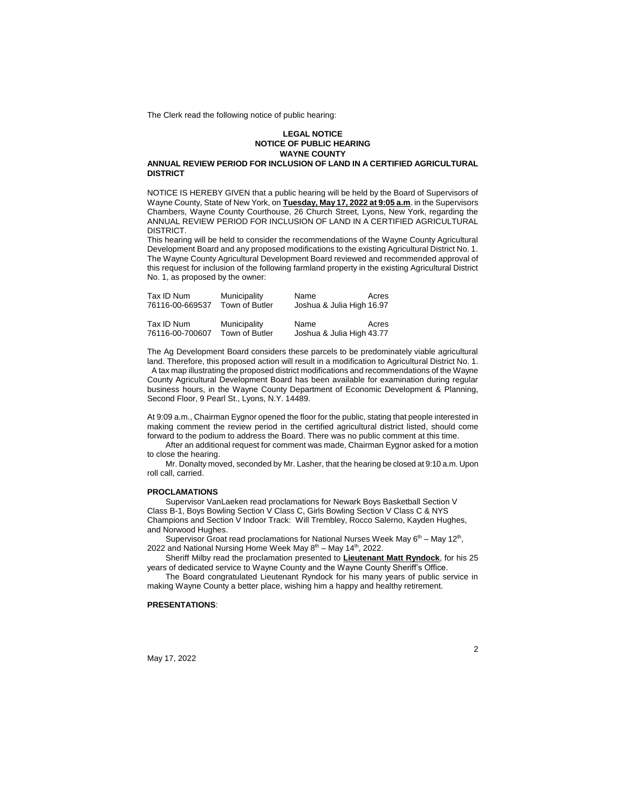The Clerk read the following notice of public hearing:

#### **LEGAL NOTICE NOTICE OF PUBLIC HEARING WAYNE COUNTY**

#### **ANNUAL REVIEW PERIOD FOR INCLUSION OF LAND IN A CERTIFIED AGRICULTURAL DISTRICT**

NOTICE IS HEREBY GIVEN that a public hearing will be held by the Board of Supervisors of Wayne County, State of New York, on **Tuesday, May 17, 2022 at 9:05 a.m**. in the Supervisors Chambers, Wayne County Courthouse, 26 Church Street, Lyons, New York, regarding the ANNUAL REVIEW PERIOD FOR INCLUSION OF LAND IN A CERTIFIED AGRICULTURAL DISTRICT.

This hearing will be held to consider the recommendations of the Wayne County Agricultural Development Board and any proposed modifications to the existing Agricultural District No. 1. The Wayne County Agricultural Development Board reviewed and recommended approval of this request for inclusion of the following farmland property in the existing Agricultural District No. 1, as proposed by the owner:

| Municipality   |                                | Acres                                                                  |
|----------------|--------------------------------|------------------------------------------------------------------------|
| Town of Butler |                                |                                                                        |
|                |                                |                                                                        |
|                |                                | Acres                                                                  |
|                |                                |                                                                        |
|                | Municipality<br>Town of Butler | Name<br>Joshua & Julia High 16.97<br>Name<br>Joshua & Julia High 43.77 |

The Ag Development Board considers these parcels to be predominately viable agricultural land. Therefore, this proposed action will result in a modification to Agricultural District No. 1. A tax map illustrating the proposed district modifications and recommendations of the Wayne County Agricultural Development Board has been available for examination during regular business hours, in the Wayne County Department of Economic Development & Planning, Second Floor, 9 Pearl St., Lyons, N.Y. 14489.

At 9:09 a.m., Chairman Eygnor opened the floor for the public, stating that people interested in making comment the review period in the certified agricultural district listed, should come forward to the podium to address the Board. There was no public comment at this time.

After an additional request for comment was made, Chairman Eygnor asked for a motion to close the hearing.

Mr. Donalty moved, seconded by Mr. Lasher, that the hearing be closed at 9:10 a.m. Upon roll call, carried.

#### **PROCLAMATIONS**

Supervisor VanLaeken read proclamations for Newark Boys Basketball Section V Class B-1, Boys Bowling Section V Class C, Girls Bowling Section V Class C & NYS Champions and Section V Indoor Track: Will Trembley, Rocco Salerno, Kayden Hughes, and Norwood Hughes.

Supervisor Groat read proclamations for National Nurses Week May  $6<sup>th</sup>$  – May 12<sup>th</sup>, 2022 and National Nursing Home Week May  $8<sup>th</sup>$  – May 14<sup>th</sup>, 2022.

Sheriff Milby read the proclamation presented to **Lieutenant Matt Ryndock**, for his 25 years of dedicated service to Wayne County and the Wayne County Sheriff's Office.

The Board congratulated Lieutenant Ryndock for his many years of public service in making Wayne County a better place, wishing him a happy and healthy retirement.

#### **PRESENTATIONS**:

May 17, 2022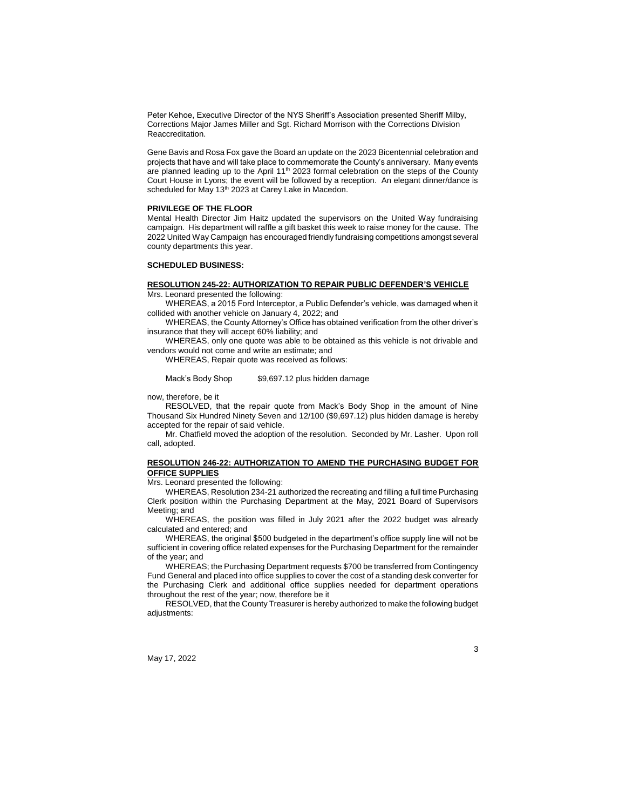Peter Kehoe, Executive Director of the NYS Sheriff's Association presented Sheriff Milby, Corrections Major James Miller and Sgt. Richard Morrison with the Corrections Division Reaccreditation.

Gene Bavis and Rosa Fox gave the Board an update on the 2023 Bicentennial celebration and projects that have and will take place to commemorate the County's anniversary. Many events are planned leading up to the April  $11<sup>th</sup>$  2023 formal celebration on the steps of the County Court House in Lyons; the event will be followed by a reception. An elegant dinner/dance is scheduled for May 13<sup>th</sup> 2023 at Carey Lake in Macedon.

#### **PRIVILEGE OF THE FLOOR**

Mental Health Director Jim Haitz updated the supervisors on the United Way fundraising campaign. His department will raffle a gift basket this week to raise money for the cause. The 2022 United Way Campaign has encouraged friendly fundraising competitions amongst several county departments this year.

#### **SCHEDULED BUSINESS:**

#### **RESOLUTION 245-22: AUTHORIZATION TO REPAIR PUBLIC DEFENDER'S VEHICLE**

Mrs. Leonard presented the following:

WHEREAS, a 2015 Ford Interceptor, a Public Defender's vehicle, was damaged when it collided with another vehicle on January 4, 2022; and

WHEREAS, the County Attorney's Office has obtained verification from the other driver's insurance that they will accept 60% liability; and

WHEREAS, only one quote was able to be obtained as this vehicle is not drivable and vendors would not come and write an estimate; and

WHEREAS, Repair quote was received as follows:

Mack's Body Shop \$9,697.12 plus hidden damage

now, therefore, be it

RESOLVED, that the repair quote from Mack's Body Shop in the amount of Nine Thousand Six Hundred Ninety Seven and 12/100 (\$9,697.12) plus hidden damage is hereby accepted for the repair of said vehicle.

Mr. Chatfield moved the adoption of the resolution. Seconded by Mr. Lasher. Upon roll call, adopted.

#### **RESOLUTION 246-22: AUTHORIZATION TO AMEND THE PURCHASING BUDGET FOR OFFICE SUPPLIES**

Mrs. Leonard presented the following:

WHEREAS, Resolution 234-21 authorized the recreating and filling a full time Purchasing Clerk position within the Purchasing Department at the May, 2021 Board of Supervisors Meeting; and

WHEREAS, the position was filled in July 2021 after the 2022 budget was already calculated and entered; and

WHEREAS, the original \$500 budgeted in the department's office supply line will not be sufficient in covering office related expenses for the Purchasing Department for the remainder of the year; and

WHEREAS; the Purchasing Department requests \$700 be transferred from Contingency Fund General and placed into office supplies to cover the cost of a standing desk converter for the Purchasing Clerk and additional office supplies needed for department operations throughout the rest of the year; now, therefore be it

RESOLVED, that the County Treasurer is hereby authorized to make the following budget adjustments:

May 17, 2022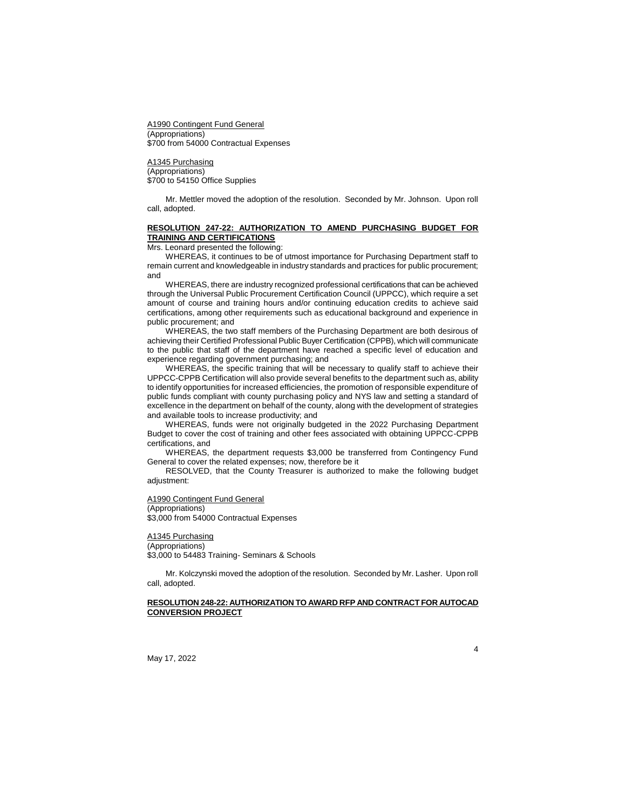A1990 Contingent Fund General (Appropriations) \$700 from 54000 Contractual Expenses

A1345 Purchasing (Appropriations) \$700 to 54150 Office Supplies

Mr. Mettler moved the adoption of the resolution. Seconded by Mr. Johnson. Upon roll call, adopted.

## **RESOLUTION 247-22: AUTHORIZATION TO AMEND PURCHASING BUDGET FOR TRAINING AND CERTIFICATIONS**

Mrs. Leonard presented the following:

WHEREAS, it continues to be of utmost importance for Purchasing Department staff to remain current and knowledgeable in industry standards and practices for public procurement; and

WHEREAS, there are industry recognized professional certifications that can be achieved through the Universal Public Procurement Certification Council (UPPCC), which require a set amount of course and training hours and/or continuing education credits to achieve said certifications, among other requirements such as educational background and experience in public procurement; and

WHEREAS, the two staff members of the Purchasing Department are both desirous of achieving their Certified Professional Public Buyer Certification (CPPB), which will communicate to the public that staff of the department have reached a specific level of education and experience regarding government purchasing; and

WHEREAS, the specific training that will be necessary to qualify staff to achieve their UPPCC-CPPB Certification will also provide several benefits to the department such as, ability to identify opportunities for increased efficiencies, the promotion of responsible expenditure of public funds compliant with county purchasing policy and NYS law and setting a standard of excellence in the department on behalf of the county, along with the development of strategies and available tools to increase productivity; and

WHEREAS, funds were not originally budgeted in the 2022 Purchasing Department Budget to cover the cost of training and other fees associated with obtaining UPPCC-CPPB certifications, and

WHEREAS, the department requests \$3,000 be transferred from Contingency Fund General to cover the related expenses; now, therefore be it

RESOLVED, that the County Treasurer is authorized to make the following budget adjustment:

A1990 Contingent Fund General

#### (Appropriations)

\$3,000 from 54000 Contractual Expenses

# A1345 Purchasing

(Appropriations) \$3,000 to 54483 Training- Seminars & Schools

Mr. Kolczynski moved the adoption of the resolution. Seconded by Mr. Lasher. Upon roll call, adopted.

## **RESOLUTION 248-22: AUTHORIZATION TO AWARD RFP AND CONTRACT FOR AUTOCAD CONVERSION PROJECT**

4

May 17, 2022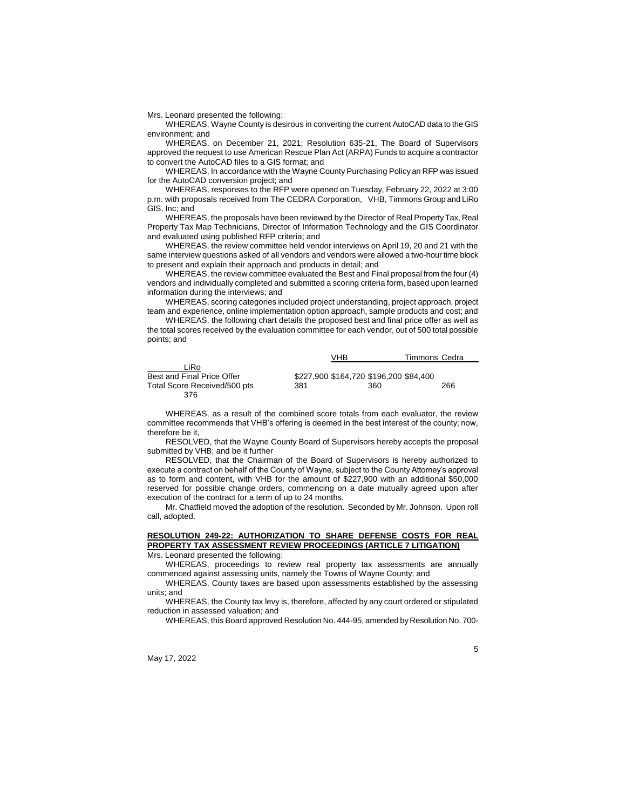Mrs. Leonard presented the following:

WHEREAS, Wayne County is desirous in converting the current AutoCAD data to the GIS environment; and

WHEREAS, on December 21, 2021; Resolution 635-21, The Board of Supervisors approved the request to use American Rescue Plan Act (ARPA) Funds to acquire a contractor to convert the AutoCAD files to a GIS format; and

WHEREAS, In accordance with the Wayne County Purchasing Policy an RFP was issued for the AutoCAD conversion project; and

WHEREAS, responses to the RFP were opened on Tuesday, February 22, 2022 at 3:00 p.m. with proposals received from The CEDRA Corporation, VHB, Timmons Group and LiRo GIS, Inc; and

WHEREAS, the proposals have been reviewed by the Director of Real Property Tax, Real Property Tax Map Technicians, Director of Information Technology and the GIS Coordinator and evaluated using published RFP criteria; and

WHEREAS, the review committee held vendor interviews on April 19, 20 and 21 with the same interview questions asked of all vendors and vendors were allowed a two-hour time block to present and explain their approach and products in detail; and

WHEREAS, the review committee evaluated the Best and Final proposal from the four (4) vendors and individually completed and submitted a scoring criteria form, based upon learned information during the interviews; and

WHEREAS, scoring categories included project understanding, project approach, project team and experience, online implementation option approach, sample products and cost; and

WHEREAS, the following chart details the proposed best and final price offer as well as the total scores received by the evaluation committee for each vendor, out of 500 total possible points; and

|                              |     | VHB                                    | Timmons Cedra |
|------------------------------|-----|----------------------------------------|---------------|
| ∟iRo                         |     |                                        |               |
| Best and Final Price Offer   |     | \$227.900 \$164.720 \$196.200 \$84.400 |               |
| Total Score Received/500 pts | 381 | 360                                    | 266           |
| 376                          |     |                                        |               |

WHEREAS, as a result of the combined score totals from each evaluator, the review committee recommends that VHB's offering is deemed in the best interest of the county; now, therefore be it,

RESOLVED, that the Wayne County Board of Supervisors hereby accepts the proposal submitted by VHB; and be it further

RESOLVED, that the Chairman of the Board of Supervisors is hereby authorized to execute a contract on behalf of the County of Wayne, subject to the County Attorney's approval as to form and content, with VHB for the amount of \$227,900 with an additional \$50,000 reserved for possible change orders, commencing on a date mutually agreed upon after execution of the contract for a term of up to 24 months.

Mr. Chatfield moved the adoption of the resolution. Seconded by Mr. Johnson. Upon roll call, adopted.

# **RESOLUTION 249-22: AUTHORIZATION TO SHARE DEFENSE COSTS FOR REAL PROPERTY TAX ASSESSMENT REVIEW PROCEEDINGS (ARTICLE 7 LITIGATION)**

Mrs. Leonard presented the following:

WHEREAS, proceedings to review real property tax assessments are annually commenced against assessing units, namely the Towns of Wayne County; and

WHEREAS, County taxes are based upon assessments established by the assessing units; and

WHEREAS, the County tax levy is, therefore, affected by any court ordered or stipulated reduction in assessed valuation; and

WHEREAS, this Board approved Resolution No. 444-95, amended by Resolution No. 700-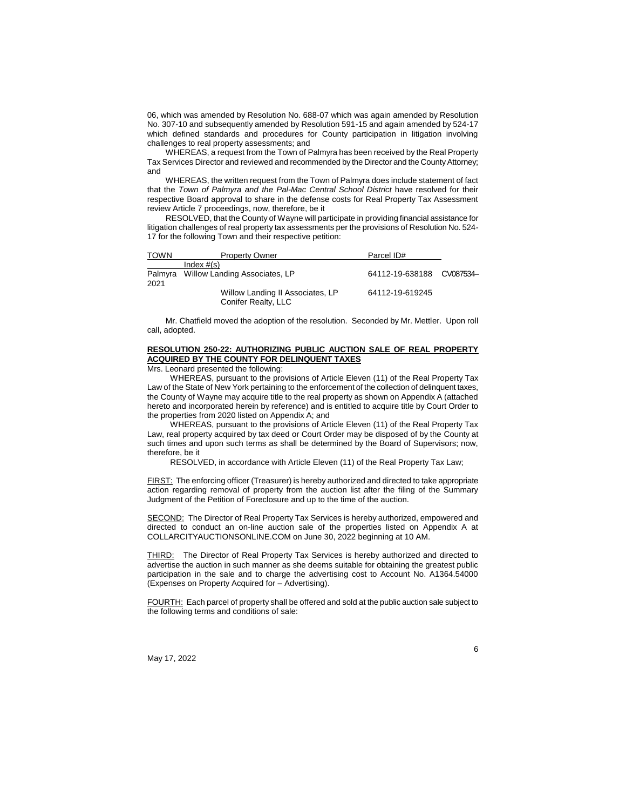06, which was amended by Resolution No. 688-07 which was again amended by Resolution No. 307-10 and subsequently amended by Resolution 591-15 and again amended by 524-17 which defined standards and procedures for County participation in litigation involving challenges to real property assessments; and

WHEREAS, a request from the Town of Palmyra has been received by the Real Property Tax Services Director and reviewed and recommended by the Director and the County Attorney; and

WHEREAS, the written request from the Town of Palmyra does include statement of fact that the *Town of Palmyra and the Pal-Mac Central School District* have resolved for their respective Board approval to share in the defense costs for Real Property Tax Assessment review Article 7 proceedings, now, therefore, be it

RESOLVED, that the County of Wayne will participate in providing financial assistance for litigation challenges of real property tax assessments per the provisions of Resolution No. 524- 17 for the following Town and their respective petition:

| <b>TOWN</b> | <b>Property Owner</b>                                   | Parcel ID#               |  |
|-------------|---------------------------------------------------------|--------------------------|--|
|             | Index $#(s)$                                            |                          |  |
| 2021        | Palmyra Willow Landing Associates, LP                   | 64112-19-638188 CV087534 |  |
|             | Willow Landing II Associates, LP<br>Conifer Realty, LLC | 64112-19-619245          |  |

Mr. Chatfield moved the adoption of the resolution. Seconded by Mr. Mettler. Upon roll call, adopted.

# **RESOLUTION 250-22: AUTHORIZING PUBLIC AUCTION SALE OF REAL PROPERTY ACQUIRED BY THE COUNTY FOR DELINQUENT TAXES**

#### Mrs. Leonard presented the following:

WHEREAS, pursuant to the provisions of Article Eleven (11) of the Real Property Tax Law of the State of New York pertaining to the enforcement of the collection of delinquent taxes, the County of Wayne may acquire title to the real property as shown on Appendix A (attached hereto and incorporated herein by reference) and is entitled to acquire title by Court Order to the properties from 2020 listed on Appendix A; and

WHEREAS, pursuant to the provisions of Article Eleven (11) of the Real Property Tax Law, real property acquired by tax deed or Court Order may be disposed of by the County at such times and upon such terms as shall be determined by the Board of Supervisors; now, therefore, be it

RESOLVED, in accordance with Article Eleven (11) of the Real Property Tax Law;

FIRST: The enforcing officer (Treasurer) is hereby authorized and directed to take appropriate action regarding removal of property from the auction list after the filing of the Summary Judgment of the Petition of Foreclosure and up to the time of the auction.

SECOND: The Director of Real Property Tax Services is hereby authorized, empowered and directed to conduct an on-line auction sale of the properties listed on Appendix A at COLLARCITYAUCTIONSONLINE.COM on June 30, 2022 beginning at 10 AM.

THIRD: The Director of Real Property Tax Services is hereby authorized and directed to advertise the auction in such manner as she deems suitable for obtaining the greatest public participation in the sale and to charge the advertising cost to Account No. A1364.54000 (Expenses on Property Acquired for – Advertising).

FOURTH: Each parcel of property shall be offered and sold at the public auction sale subject to the following terms and conditions of sale:

May 17, 2022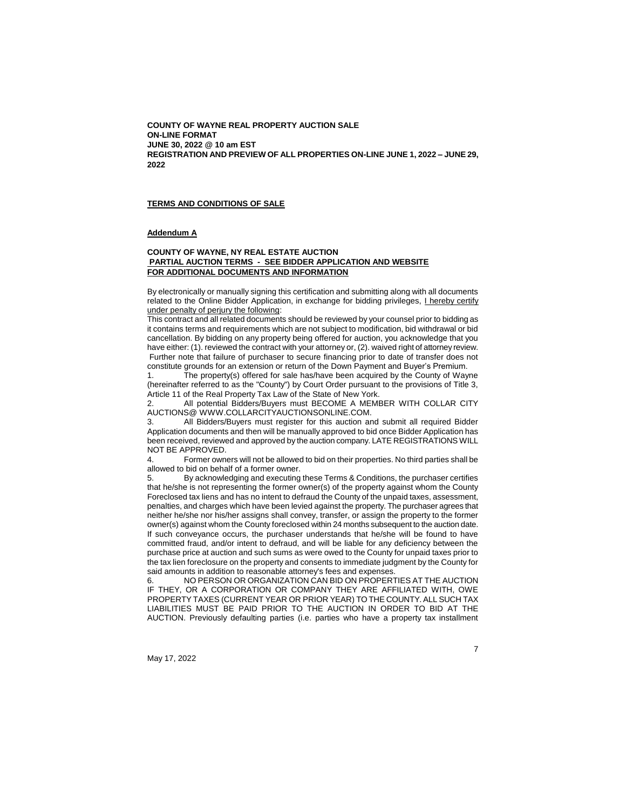**COUNTY OF WAYNE REAL PROPERTY AUCTION SALE ON-LINE FORMAT JUNE 30, 2022 @ 10 am EST REGISTRATION AND PREVIEW OF ALL PROPERTIES ON-LINE JUNE 1, 2022 – JUNE 29, 2022**

#### **TERMS AND CONDITIONS OF SALE**

#### **Addendum A**

#### **COUNTY OF WAYNE, NY REAL ESTATE AUCTION PARTIAL AUCTION TERMS - SEE BIDDER APPLICATION AND WEBSITE FOR ADDITIONAL DOCUMENTS AND INFORMATION**

By electronically or manually signing this certification and submitting along with all documents related to the Online Bidder Application, in exchange for bidding privileges, *Lhereby certify* under penalty of perjury the following:

This contract and all related documents should be reviewed by your counsel prior to bidding as it contains terms and requirements which are not subject to modification, bid withdrawal or bid cancellation. By bidding on any property being offered for auction, you acknowledge that you have either: (1). reviewed the contract with your attorney or, (2). waived right of attorney review. Further note that failure of purchaser to secure financing prior to date of transfer does not constitute grounds for an extension or return of the Down Payment and Buyer's Premium.

The property(s) offered for sale has/have been acquired by the County of Wayne (hereinafter referred to as the "County") by Court Order pursuant to the provisions of Title 3, Article 11 of the Real Property Tax Law of the State of New York.

2. All potential Bidders/Buyers must BECOME A MEMBER WITH COLLAR CITY AUCTIONS@ WWW.COLLARCITYAUCTIONSONLINE.COM.

3. All Bidders/Buyers must register for this auction and submit all required Bidder Application documents and then will be manually approved to bid once Bidder Application has been received, reviewed and approved by the auction company. LATE REGISTRATIONS WILL NOT BE APPROVED.

4. Former owners will not be allowed to bid on their properties. No third parties shall be allowed to bid on behalf of a former owner.

5. By acknowledging and executing these Terms & Conditions, the purchaser certifies that he/she is not representing the former owner(s) of the property against whom the County Foreclosed tax liens and has no intent to defraud the County of the unpaid taxes, assessment, penalties, and charges which have been levied against the property. The purchaser agrees that neither he/she nor his/her assigns shall convey, transfer, or assign the property to the former owner(s) against whom the County foreclosed within 24 months subsequent to the auction date. If such conveyance occurs, the purchaser understands that he/she will be found to have committed fraud, and/or intent to defraud, and will be liable for any deficiency between the purchase price at auction and such sums as were owed to the County for unpaid taxes prior to the tax lien foreclosure on the property and consents to immediate judgment by the County for said amounts in addition to reasonable attorney's fees and expenses.

6. NO PERSON OR ORGANIZATION CAN BID ON PROPERTIES AT THE AUCTION IF THEY, OR A CORPORATION OR COMPANY THEY ARE AFFILIATED WITH, OWE PROPERTY TAXES (CURRENT YEAR OR PRIOR YEAR) TO THE COUNTY. ALL SUCH TAX LIABILITIES MUST BE PAID PRIOR TO THE AUCTION IN ORDER TO BID AT THE AUCTION. Previously defaulting parties (i.e. parties who have a property tax installment

May 17, 2022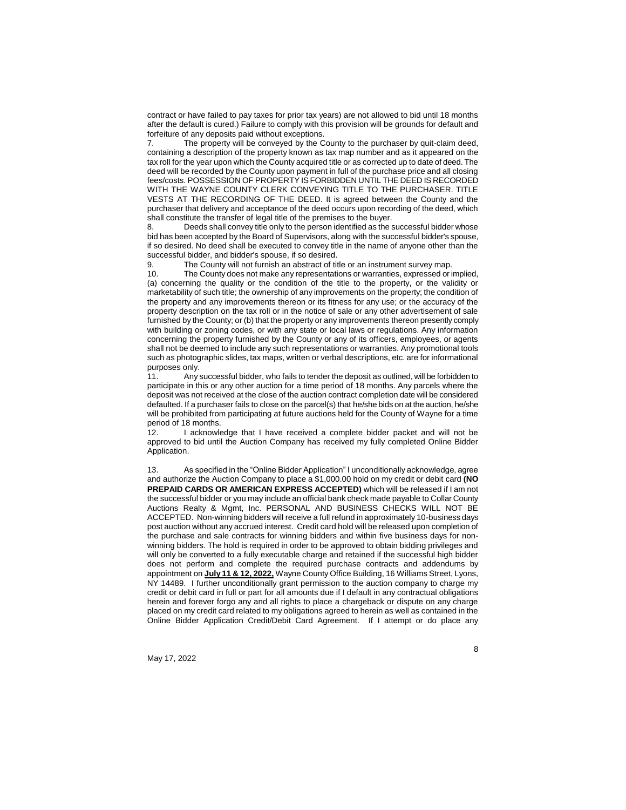contract or have failed to pay taxes for prior tax years) are not allowed to bid until 18 months after the default is cured.) Failure to comply with this provision will be grounds for default and forfeiture of any deposits paid without exceptions.

7. The property will be conveyed by the County to the purchaser by quit-claim deed, containing a description of the property known as tax map number and as it appeared on the tax roll for the year upon which the County acquired title or as corrected up to date of deed. The deed will be recorded by the County upon payment in full of the purchase price and all closing fees/costs. POSSESSION OF PROPERTY IS FORBIDDEN UNTIL THE DEED IS RECORDED WITH THE WAYNE COUNTY CLERK CONVEYING TITLE TO THE PURCHASER. TITLE VESTS AT THE RECORDING OF THE DEED. It is agreed between the County and the purchaser that delivery and acceptance of the deed occurs upon recording of the deed, which shall constitute the transfer of legal title of the premises to the buyer.

8. Deeds shall convey title only to the person identified as the successful bidder whose bid has been accepted by the Board of Supervisors, along with the successful bidder's spouse, if so desired. No deed shall be executed to convey title in the name of anyone other than the successful bidder, and bidder's spouse, if so desired.

The County will not furnish an abstract of title or an instrument survey map.

10. The County does not make any representations or warranties, expressed or implied, (a) concerning the quality or the condition of the title to the property, or the validity or marketability of such title; the ownership of any improvements on the property; the condition of the property and any improvements thereon or its fitness for any use; or the accuracy of the property description on the tax roll or in the notice of sale or any other advertisement of sale furnished by the County; or (b) that the property or any improvements thereon presently comply with building or zoning codes, or with any state or local laws or regulations. Any information concerning the property furnished by the County or any of its officers, employees, or agents shall not be deemed to include any such representations or warranties. Any promotional tools such as photographic slides, tax maps, written or verbal descriptions, etc. are for informational purposes only.<br>11 Anys

Any successful bidder, who fails to tender the deposit as outlined, will be forbidden to participate in this or any other auction for a time period of 18 months. Any parcels where the deposit was not received at the close of the auction contract completion date will be considered defaulted. If a purchaser fails to close on the parcel(s) that he/she bids on at the auction, he/she will be prohibited from participating at future auctions held for the County of Wayne for a time period of 18 months.<br>12 **Lacknowle** 

I acknowledge that I have received a complete bidder packet and will not be approved to bid until the Auction Company has received my fully completed Online Bidder Application.

As specified in the "Online Bidder Application" I unconditionally acknowledge, agree and authorize the Auction Company to place a \$1,000.00 hold on my credit or debit card **(NO PREPAID CARDS OR AMERICAN EXPRESS ACCEPTED)** which will be released if I am not the successful bidder or you may include an official bank check made payable to Collar County Auctions Realty & Mgmt, Inc. PERSONAL AND BUSINESS CHECKS WILL NOT BE ACCEPTED. Non-winning bidders will receive a full refund in approximately 10-business days post auction without any accrued interest. Credit card hold will be released upon completion of the purchase and sale contracts for winning bidders and within five business days for nonwinning bidders. The hold is required in order to be approved to obtain bidding privileges and will only be converted to a fully executable charge and retained if the successful high bidder does not perform and complete the required purchase contracts and addendums by appointment on **July 11 & 12, 2022,** Wayne County Office Building, 16 Williams Street, Lyons, NY 14489. I further unconditionally grant permission to the auction company to charge my credit or debit card in full or part for all amounts due if I default in any contractual obligations herein and forever forgo any and all rights to place a chargeback or dispute on any charge placed on my credit card related to my obligations agreed to herein as well as contained in the Online Bidder Application Credit/Debit Card Agreement. If I attempt or do place any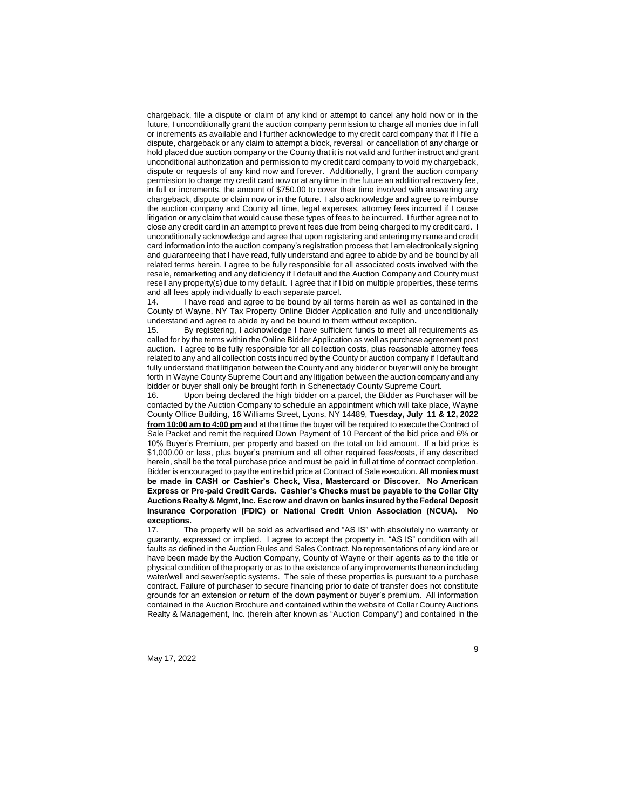chargeback, file a dispute or claim of any kind or attempt to cancel any hold now or in the future, I unconditionally grant the auction company permission to charge all monies due in full or increments as available and I further acknowledge to my credit card company that if I file a dispute, chargeback or any claim to attempt a block, reversal or cancellation of any charge or hold placed due auction company or the County that it is not valid and further instruct and grant unconditional authorization and permission to my credit card company to void my chargeback, dispute or requests of any kind now and forever. Additionally, I grant the auction company permission to charge my credit card now or at any time in the future an additional recovery fee, in full or increments, the amount of \$750.00 to cover their time involved with answering any chargeback, dispute or claim now or in the future. I also acknowledge and agree to reimburse the auction company and County all time, legal expenses, attorney fees incurred if I cause litigation or any claim that would cause these types of fees to be incurred. I further agree not to close any credit card in an attempt to prevent fees due from being charged to my credit card. I unconditionally acknowledge and agree that upon registering and entering my name and credit card information into the auction company's registration process that I am electronically signing and guaranteeing that I have read, fully understand and agree to abide by and be bound by all related terms herein. I agree to be fully responsible for all associated costs involved with the resale, remarketing and any deficiency if I default and the Auction Company and County must resell any property(s) due to my default. I agree that if I bid on multiple properties, these terms and all fees apply individually to each separate parcel.

14. I have read and agree to be bound by all terms herein as well as contained in the County of Wayne, NY Tax Property Online Bidder Application and fully and unconditionally understand and agree to abide by and be bound to them without exception**.**

15. By registering, I acknowledge I have sufficient funds to meet all requirements as called for by the terms within the Online Bidder Application as well as purchase agreement post auction. I agree to be fully responsible for all collection costs, plus reasonable attorney fees related to any and all collection costs incurred by the County or auction company if I default and fully understand that litigation between the County and any bidder or buyer will only be brought forth in Wayne County Supreme Court and any litigation between the auction company and any bidder or buyer shall only be brought forth in Schenectady County Supreme Court.<br>16. Upon being declared the high bidder on a parcel, the Bidder as Purchas

Upon being declared the high bidder on a parcel, the Bidder as Purchaser will be contacted by the Auction Company to schedule an appointment which will take place, Wayne County Office Building, 16 Williams Street, Lyons, NY 14489, **Tuesday, July 11 & 12, 2022 from 10:00 am to 4:00 pm** and at that time the buyer will be required to execute the Contract of Sale Packet and remit the required Down Payment of 10 Percent of the bid price and 6% or 10% Buyer's Premium, per property and based on the total on bid amount. If a bid price is \$1,000.00 or less, plus buyer's premium and all other required fees/costs, if any described herein, shall be the total purchase price and must be paid in full at time of contract completion. Bidder is encouraged to pay the entire bid price at Contract of Sale execution. **All monies must be made in CASH or Cashier's Check, Visa, Mastercard or Discover. No American Express or Pre-paid Credit Cards. Cashier's Checks must be payable to the Collar City Auctions Realty & Mgmt, Inc. Escrow and drawn on banks insured by the Federal Deposit Insurance Corporation (FDIC) or National Credit Union Association (NCUA). No exceptions.** 

17. The property will be sold as advertised and "AS IS" with absolutely no warranty or guaranty, expressed or implied. I agree to accept the property in, "AS IS" condition with all faults as defined in the Auction Rules and Sales Contract. No representations of any kind are or have been made by the Auction Company, County of Wayne or their agents as to the title or physical condition of the property or as to the existence of any improvements thereon including water/well and sewer/septic systems. The sale of these properties is pursuant to a purchase contract. Failure of purchaser to secure financing prior to date of transfer does not constitute grounds for an extension or return of the down payment or buyer's premium. All information contained in the Auction Brochure and contained within the website of Collar County Auctions Realty & Management, Inc. (herein after known as "Auction Company") and contained in the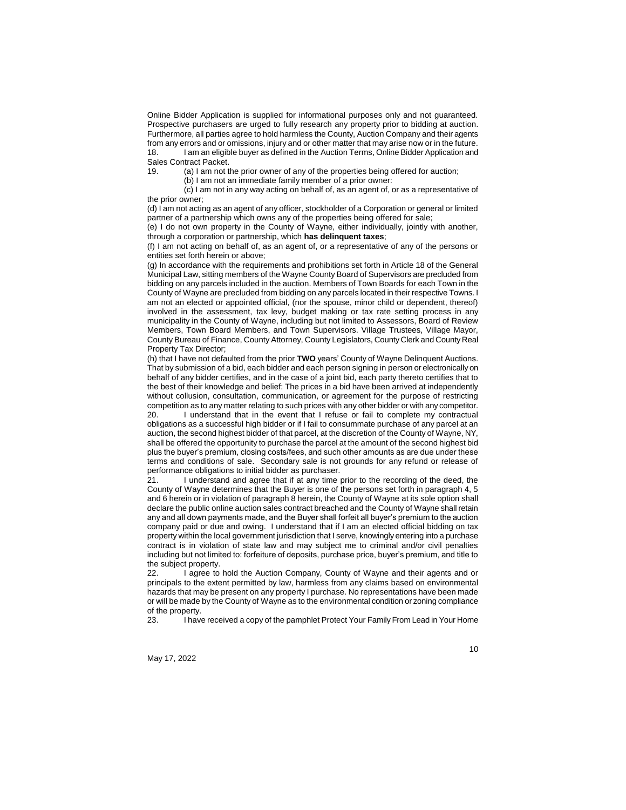Online Bidder Application is supplied for informational purposes only and not guaranteed. Prospective purchasers are urged to fully research any property prior to bidding at auction. Furthermore, all parties agree to hold harmless the County, Auction Company and their agents from any errors and or omissions, injury and or other matter that may arise now or in the future. 18. I am an eligible buyer as defined in the Auction Terms, Online Bidder Application and Sales Contract Packet.

19. (a) I am not the prior owner of any of the properties being offered for auction;

(b) I am not an immediate family member of a prior owner:

(c) I am not in any way acting on behalf of, as an agent of, or as a representative of the prior owner;

(d) I am not acting as an agent of any officer, stockholder of a Corporation or general or limited partner of a partnership which owns any of the properties being offered for sale;

(e) I do not own property in the County of Wayne, either individually, jointly with another, through a corporation or partnership, which **has delinquent taxes**;

(f) I am not acting on behalf of, as an agent of, or a representative of any of the persons or entities set forth herein or above;

(g) In accordance with the requirements and prohibitions set forth in Article 18 of the General Municipal Law, sitting members of the Wayne County Board of Supervisors are precluded from bidding on any parcels included in the auction. Members of Town Boards for each Town in the County of Wayne are precluded from bidding on any parcels located in their respective Towns. I am not an elected or appointed official, (nor the spouse, minor child or dependent, thereof) involved in the assessment, tax levy, budget making or tax rate setting process in any municipality in the County of Wayne, including but not limited to Assessors, Board of Review Members, Town Board Members, and Town Supervisors. Village Trustees, Village Mayor, County Bureau of Finance, County Attorney, County Legislators, County Clerk and County Real Property Tax Director;

(h) that I have not defaulted from the prior **TWO** years' County of Wayne Delinquent Auctions. That by submission of a bid, each bidder and each person signing in person or electronically on behalf of any bidder certifies, and in the case of a joint bid, each party thereto certifies that to the best of their knowledge and belief: The prices in a bid have been arrived at independently without collusion, consultation, communication, or agreement for the purpose of restricting competition as to any matter relating to such prices with any other bidder or with any competitor.

20. I understand that in the event that I refuse or fail to complete my contractual obligations as a successful high bidder or if I fail to consummate purchase of any parcel at an auction, the second highest bidder of that parcel, at the discretion of the County of Wayne, NY, shall be offered the opportunity to purchase the parcel at the amount of the second highest bid plus the buyer's premium, closing costs/fees, and such other amounts as are due under these terms and conditions of sale. Secondary sale is not grounds for any refund or release of performance obligations to initial bidder as purchaser.

21. I understand and agree that if at any time prior to the recording of the deed, the County of Wayne determines that the Buyer is one of the persons set forth in paragraph 4, 5 and 6 herein or in violation of paragraph 8 herein, the County of Wayne at its sole option shall declare the public online auction sales contract breached and the County of Wayne shall retain any and all down payments made, and the Buyer shall forfeit all buyer's premium to the auction company paid or due and owing. I understand that if I am an elected official bidding on tax property within the local government jurisdiction that I serve, knowingly entering into a purchase contract is in violation of state law and may subject me to criminal and/or civil penalties including but not limited to: forfeiture of deposits, purchase price, buyer's premium, and title to the subject property.

22. I agree to hold the Auction Company, County of Wayne and their agents and or principals to the extent permitted by law, harmless from any claims based on environmental hazards that may be present on any property I purchase. No representations have been made or will be made by the County of Wayne as to the environmental condition or zoning compliance of the property.

23. I have received a copy of the pamphlet Protect Your Family From Lead in Your Home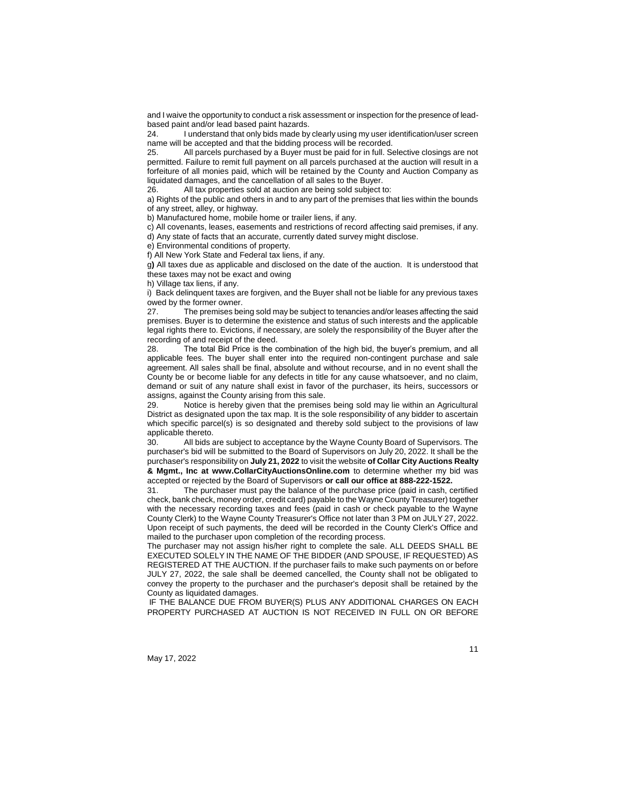and I waive the opportunity to conduct a risk assessment or inspection for the presence of leadbased paint and/or lead based paint hazards.<br>24 **Lunderstand that only bids made by** 

I understand that only bids made by clearly using my user identification/user screen name will be accepted and that the bidding process will be recorded.

25. All parcels purchased by a Buyer must be paid for in full. Selective closings are not permitted. Failure to remit full payment on all parcels purchased at the auction will result in a forfeiture of all monies paid, which will be retained by the County and Auction Company as liquidated damages, and the cancellation of all sales to the Buyer.<br>26 **All tax properties sold at auction are being sold subject to** 

All tax properties sold at auction are being sold subject to:

a) Rights of the public and others in and to any part of the premises that lies within the bounds of any street, alley, or highway.

b) Manufactured home, mobile home or trailer liens, if any.

c) All covenants, leases, easements and restrictions of record affecting said premises, if any. d) Any state of facts that an accurate, currently dated survey might disclose.

e) Environmental conditions of property.

f) All New York State and Federal tax liens, if any.

g**)** All taxes due as applicable and disclosed on the date of the auction. It is understood that these taxes may not be exact and owing

h) Village tax liens, if any.

i) Back delinquent taxes are forgiven, and the Buyer shall not be liable for any previous taxes owed by the former owner.

27. The premises being sold may be subject to tenancies and/or leases affecting the said premises. Buyer is to determine the existence and status of such interests and the applicable legal rights there to. Evictions, if necessary, are solely the responsibility of the Buyer after the recording of and receipt of the deed.

28. The total Bid Price is the combination of the high bid, the buyer's premium, and all applicable fees. The buyer shall enter into the required non-contingent purchase and sale agreement. All sales shall be final, absolute and without recourse, and in no event shall the County be or become liable for any defects in title for any cause whatsoever, and no claim, demand or suit of any nature shall exist in favor of the purchaser, its heirs, successors or assigns, against the County arising from this sale.

Notice is hereby given that the premises being sold may lie within an Agricultural District as designated upon the tax map. It is the sole responsibility of any bidder to ascertain which specific parcel(s) is so designated and thereby sold subject to the provisions of law applicable thereto.

30. All bids are subject to acceptance by the Wayne County Board of Supervisors. The purchaser's bid will be submitted to the Board of Supervisors on July 20, 2022. It shall be the purchaser's responsibility on **July 21, 2022** to visit the website **of Collar City Auctions Realty & Mgmt., Inc at www.CollarCityAuctionsOnline.com** to determine whether my bid was accepted or rejected by the Board of Supervisors **or call our office at 888-222-1522.**

31. The purchaser must pay the balance of the purchase price (paid in cash, certified check, bank check, money order, credit card) payable to the Wayne County Treasurer) together with the necessary recording taxes and fees (paid in cash or check payable to the Wayne County Clerk) to the Wayne County Treasurer's Office not later than 3 PM on JULY 27, 2022. Upon receipt of such payments, the deed will be recorded in the County Clerk's Office and mailed to the purchaser upon completion of the recording process.

The purchaser may not assign his/her right to complete the sale. ALL DEEDS SHALL BE EXECUTED SOLELY IN THE NAME OF THE BIDDER (AND SPOUSE, IF REQUESTED) AS REGISTERED AT THE AUCTION. If the purchaser fails to make such payments on or before JULY 27, 2022, the sale shall be deemed cancelled, the County shall not be obligated to convey the property to the purchaser and the purchaser's deposit shall be retained by the County as liquidated damages.

IF THE BALANCE DUE FROM BUYER(S) PLUS ANY ADDITIONAL CHARGES ON EACH PROPERTY PURCHASED AT AUCTION IS NOT RECEIVED IN FULL ON OR BEFORE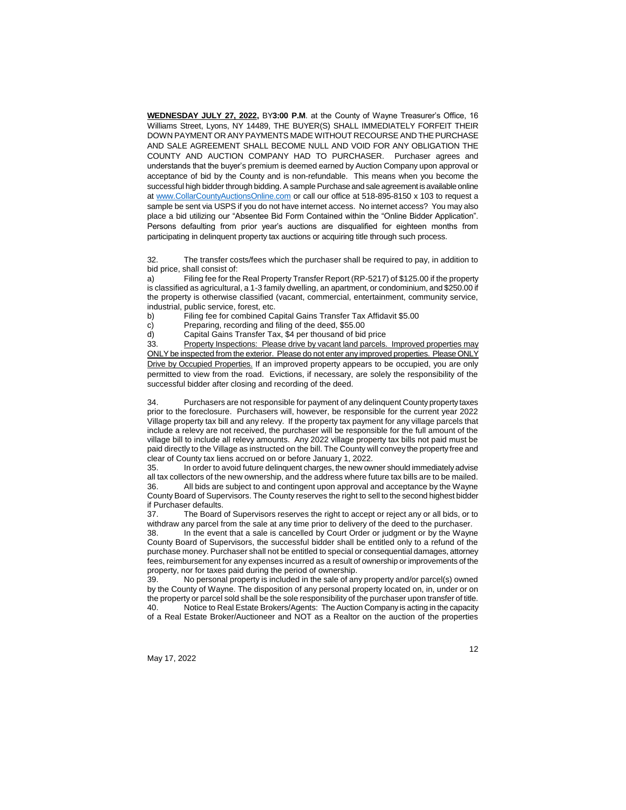**WEDNESDAY JULY 27, 2022,** BY**3:00 P.M**. at the County of Wayne Treasurer's Office, 16 Williams Street, Lyons, NY 14489, THE BUYER(S) SHALL IMMEDIATELY FORFEIT THEIR DOWN PAYMENT OR ANY PAYMENTS MADE WITHOUT RECOURSE AND THE PURCHASE AND SALE AGREEMENT SHALL BECOME NULL AND VOID FOR ANY OBLIGATION THE COUNTY AND AUCTION COMPANY HAD TO PURCHASER. Purchaser agrees and understands that the buyer's premium is deemed earned by Auction Company upon approval or acceptance of bid by the County and is non-refundable. This means when you become the successful high bidder through bidding. A sample Purchase and sale agreement is available online at [www.CollarCountyAuctionsOnline.com](http://www.collarcityauctionsonline.com/) or call our office at 518-895-8150 x 103 to request a sample be sent via USPS if you do not have internet access. No internet access? You may also place a bid utilizing our "Absentee Bid Form Contained within the "Online Bidder Application". Persons defaulting from prior year's auctions are disqualified for eighteen months from participating in delinquent property tax auctions or acquiring title through such process.

32. The transfer costs/fees which the purchaser shall be required to pay, in addition to bid price, shall consist of:

a) Filing fee for the Real Property Transfer Report (RP-5217) of \$125.00 if the property is classified as agricultural, a 1-3 family dwelling, an apartment, or condominium, and \$250.00 if the property is otherwise classified (vacant, commercial, entertainment, community service, industrial, public service, forest, etc.

b) Filing fee for combined Capital Gains Transfer Tax Affidavit \$5.00

c) Preparing, recording and filing of the deed, \$55.00

d) Capital Gains Transfer Tax, \$4 per thousand of bid price

33. Property Inspections: Please drive by vacant land parcels. Improved properties may ONLY be inspected from the exterior. Please do not enter any improved properties. Please ONLY Drive by Occupied Properties. If an improved property appears to be occupied, you are only permitted to view from the road. Evictions, if necessary, are solely the responsibility of the successful bidder after closing and recording of the deed.

34. Purchasers are not responsible for payment of any delinquent County property taxes prior to the foreclosure. Purchasers will, however, be responsible for the current year 2022 Village property tax bill and any relevy. If the property tax payment for any village parcels that include a relevy are not received, the purchaser will be responsible for the full amount of the village bill to include all relevy amounts. Any 2022 village property tax bills not paid must be paid directly to the Village as instructed on the bill. The County will convey the property free and clear of County tax liens accrued on or before January 1, 2022.

35. In order to avoid future delinquent charges, the new owner should immediately advise all tax collectors of the new ownership, and the address where future tax bills are to be mailed. 36. All bids are subject to and contingent upon approval and acceptance by the Wayne County Board of Supervisors. The County reserves the right to sell to the second highest bidder if Purchaser defaults.

37. The Board of Supervisors reserves the right to accept or reject any or all bids, or to withdraw any parcel from the sale at any time prior to delivery of the deed to the purchaser.

38. In the event that a sale is cancelled by Court Order or judgment or by the Wayne County Board of Supervisors, the successful bidder shall be entitled only to a refund of the purchase money. Purchaser shall not be entitled to special or consequential damages, attorney fees, reimbursement for any expenses incurred as a result of ownership or improvements of the property, nor for taxes paid during the period of ownership.

39. No personal property is included in the sale of any property and/or parcel(s) owned by the County of Wayne. The disposition of any personal property located on, in, under or on the property or parcel sold shall be the sole responsibility of the purchaser upon transfer of title. 40. Notice to Real Estate Brokers/Agents: The Auction Company is acting in the capacity of a Real Estate Broker/Auctioneer and NOT as a Realtor on the auction of the properties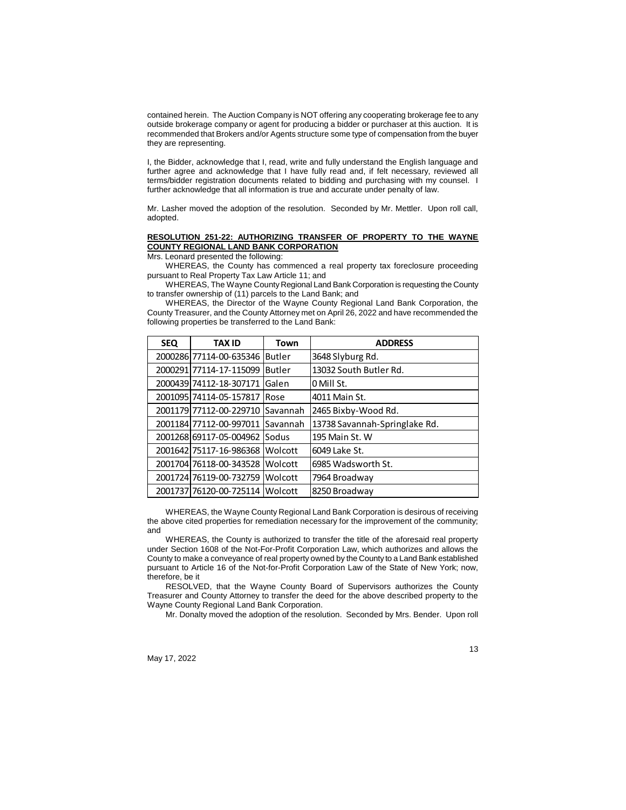contained herein. The Auction Company is NOT offering any cooperating brokerage fee to any outside brokerage company or agent for producing a bidder or purchaser at this auction. It is recommended that Brokers and/or Agents structure some type of compensation from the buyer they are representing.

I, the Bidder, acknowledge that I, read, write and fully understand the English language and further agree and acknowledge that I have fully read and, if felt necessary, reviewed all terms/bidder registration documents related to bidding and purchasing with my counsel. I further acknowledge that all information is true and accurate under penalty of law.

Mr. Lasher moved the adoption of the resolution. Seconded by Mr. Mettler. Upon roll call, adopted.

# **RESOLUTION 251-22: AUTHORIZING TRANSFER OF PROPERTY TO THE WAYNE COUNTY REGIONAL LAND BANK CORPORATION**

Mrs. Leonard presented the following:

WHEREAS, the County has commenced a real property tax foreclosure proceeding pursuant to Real Property Tax Law Article 11; and

WHEREAS, The Wayne County Regional Land Bank Corporation is requesting the County to transfer ownership of (11) parcels to the Land Bank; and

WHEREAS, the Director of the Wayne County Regional Land Bank Corporation, the County Treasurer, and the County Attorney met on April 26, 2022 and have recommended the following properties be transferred to the Land Bank:

| <b>SEQ</b> | <b>TAX ID</b>                    | Town           | <b>ADDRESS</b>                |
|------------|----------------------------------|----------------|-------------------------------|
|            | 2000286 77114-00-635346          | Butler         | 3648 Slyburg Rd.              |
|            | 2000291 77114-17-115099          | <b>Butler</b>  | 13032 South Butler Rd.        |
|            | 2000439174112-18-307171          | Galen          | 0 Mill St.                    |
|            | 2001095174114-05-157817          | <b>IRose</b>   | 4011 Main St.                 |
|            | 2001179177112-00-229710 Savannah |                | 2465 Bixby-Wood Rd.           |
|            | 2001184 77112-00-997011          | Savannah       | 13738 Savannah-Springlake Rd. |
|            | 2001268169117-05-004962 Sodus    |                | 195 Main St. W                |
|            | 2001642 75117-16-986368          | Wolcott        | 6049 Lake St.                 |
|            | 2001704 76118-00-343528          | Wolcott        | 6985 Wadsworth St.            |
|            | 2001724 76119-00-732759          | <b>Wolcott</b> | 7964 Broadway                 |
|            | 2001737176120-00-725114 Wolcott  |                | 8250 Broadway                 |

WHEREAS, the Wayne County Regional Land Bank Corporation is desirous of receiving the above cited properties for remediation necessary for the improvement of the community; and

WHEREAS, the County is authorized to transfer the title of the aforesaid real property under Section 1608 of the Not-For-Profit Corporation Law, which authorizes and allows the County to make a conveyance of real property owned by the County to a Land Bank established pursuant to Article 16 of the Not-for-Profit Corporation Law of the State of New York; now, therefore, be it

RESOLVED, that the Wayne County Board of Supervisors authorizes the County Treasurer and County Attorney to transfer the deed for the above described property to the Wayne County Regional Land Bank Corporation.

Mr. Donalty moved the adoption of the resolution. Seconded by Mrs. Bender. Upon roll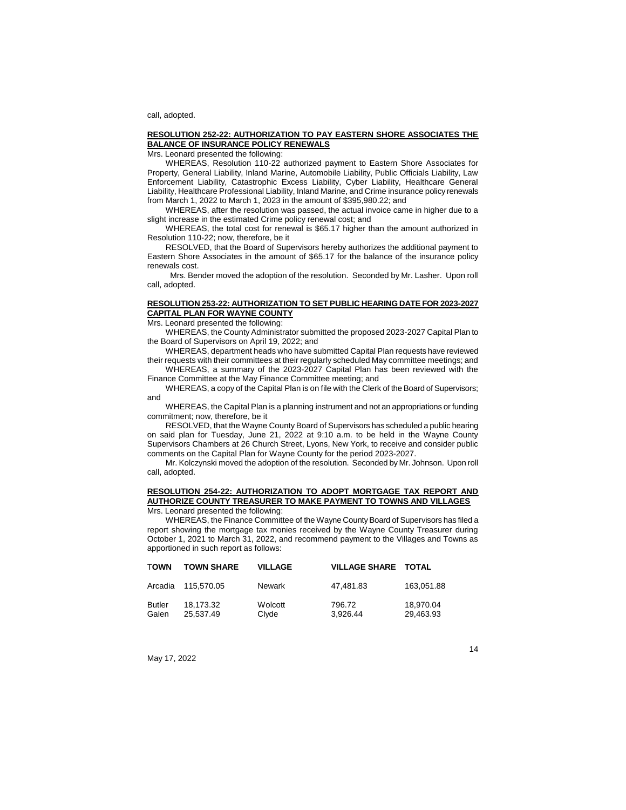call, adopted.

## **RESOLUTION 252-22: AUTHORIZATION TO PAY EASTERN SHORE ASSOCIATES THE BALANCE OF INSURANCE POLICY RENEWALS**

Mrs. Leonard presented the following:

WHEREAS, Resolution 110-22 authorized payment to Eastern Shore Associates for Property, General Liability, Inland Marine, Automobile Liability, Public Officials Liability, Law Enforcement Liability, Catastrophic Excess Liability, Cyber Liability, Healthcare General Liability, Healthcare Professional Liability, Inland Marine, and Crime insurance policy renewals from March 1, 2022 to March 1, 2023 in the amount of \$395,980.22; and

WHEREAS, after the resolution was passed, the actual invoice came in higher due to a slight increase in the estimated Crime policy renewal cost; and

WHEREAS, the total cost for renewal is \$65.17 higher than the amount authorized in Resolution 110-22; now, therefore, be it

RESOLVED, that the Board of Supervisors hereby authorizes the additional payment to Eastern Shore Associates in the amount of \$65.17 for the balance of the insurance policy renewals cost.

Mrs. Bender moved the adoption of the resolution. Seconded by Mr. Lasher. Upon roll call, adopted.

# **RESOLUTION 253-22: AUTHORIZATION TO SET PUBLIC HEARING DATE FOR 2023-2027 CAPITAL PLAN FOR WAYNE COUNTY**

Mrs. Leonard presented the following:

WHEREAS, the County Administrator submitted the proposed 2023-2027 Capital Plan to the Board of Supervisors on April 19, 2022; and

WHEREAS, department heads who have submitted Capital Plan requests have reviewed their requests with their committees at their regularly scheduled May committee meetings; and

WHEREAS, a summary of the 2023-2027 Capital Plan has been reviewed with the Finance Committee at the May Finance Committee meeting; and

WHEREAS, a copy of the Capital Plan is on file with the Clerk of the Board of Supervisors; and

WHEREAS, the Capital Plan is a planning instrument and not an appropriations or funding commitment; now, therefore, be it

RESOLVED, that the Wayne County Board of Supervisors has scheduled a public hearing on said plan for Tuesday, June 21, 2022 at 9:10 a.m. to be held in the Wayne County Supervisors Chambers at 26 Church Street, Lyons, New York, to receive and consider public comments on the Capital Plan for Wayne County for the period 2023-2027.

Mr. Kolczynski moved the adoption of the resolution. Seconded by Mr. Johnson. Upon roll call, adopted.

#### **RESOLUTION 254-22: AUTHORIZATION TO ADOPT MORTGAGE TAX REPORT AND AUTHORIZE COUNTY TREASURER TO MAKE PAYMENT TO TOWNS AND VILLAGES** Mrs. Leonard presented the following:

WHEREAS, the Finance Committee of the Wayne County Board of Supervisors has filed a report showing the mortgage tax monies received by the Wayne County Treasurer during October 1, 2021 to March 31, 2022, and recommend payment to the Villages and Towns as apportioned in such report as follows:

| TOWN            | <b>TOWN SHARE</b>      | <b>VILLAGE</b>   | <b>VILLAGE SHARE TOTAL</b> |                        |
|-----------------|------------------------|------------------|----------------------------|------------------------|
| Arcadia         | 115.570.05             | Newark           | 47.481.83                  | 163.051.88             |
| Butler<br>Galen | 18.173.32<br>25.537.49 | Wolcott<br>Clyde | 796.72<br>3.926.44         | 18.970.04<br>29,463.93 |

May 17, 2022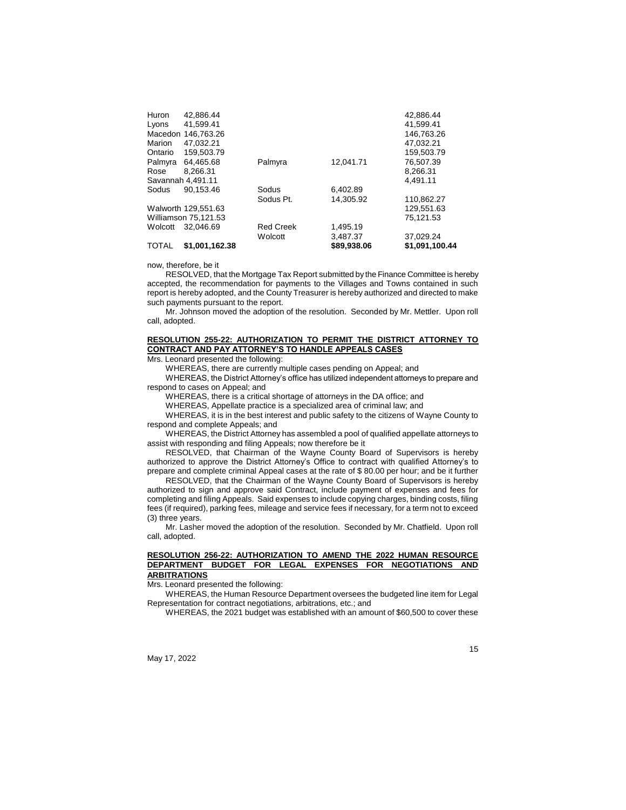| Huron<br>Lyons<br>Marion<br>Ontario | 42.886.44<br>41.599.41<br>Macedon 146.763.26<br>47.032.21<br>159.503.79 |                  |             | 42.886.44<br>41.599.41<br>146.763.26<br>47,032.21<br>159.503.79 |
|-------------------------------------|-------------------------------------------------------------------------|------------------|-------------|-----------------------------------------------------------------|
| Palmyra                             | 64,465.68                                                               | Palmyra          | 12.041.71   | 76,507.39                                                       |
| Rose                                | 8.266.31                                                                |                  |             | 8.266.31                                                        |
| Savannah 4.491.11                   |                                                                         |                  |             | 4,491.11                                                        |
| Sodus                               | 90.153.46                                                               | Sodus            | 6.402.89    |                                                                 |
|                                     |                                                                         | Sodus Pt.        | 14.305.92   | 110.862.27                                                      |
|                                     | Walworth 129.551.63                                                     |                  |             | 129.551.63                                                      |
|                                     | Williamson 75.121.53                                                    |                  |             | 75,121.53                                                       |
| Wolcott                             | 32.046.69                                                               | <b>Red Creek</b> | 1.495.19    |                                                                 |
|                                     |                                                                         | Wolcott          | 3,487.37    | 37.029.24                                                       |
| <b>TOTAL</b>                        | \$1.001.162.38                                                          |                  | \$89,938,06 | \$1.091.100.44                                                  |

now, therefore, be it

RESOLVED, that the Mortgage Tax Report submitted by the Finance Committee is hereby accepted, the recommendation for payments to the Villages and Towns contained in such report is hereby adopted, and the County Treasurer is hereby authorized and directed to make such payments pursuant to the report.

Mr. Johnson moved the adoption of the resolution. Seconded by Mr. Mettler. Upon roll call, adopted.

# **RESOLUTION 255-22: AUTHORIZATION TO PERMIT THE DISTRICT ATTORNEY TO CONTRACT AND PAY ATTORNEY'S TO HANDLE APPEALS CASES**

Mrs. Leonard presented the following:

WHEREAS, there are currently multiple cases pending on Appeal; and

WHEREAS, the District Attorney's office has utilized independent attorneys to prepare and respond to cases on Appeal; and

WHEREAS, there is a critical shortage of attorneys in the DA office; and

WHEREAS, Appellate practice is a specialized area of criminal law; and

WHEREAS, it is in the best interest and public safety to the citizens of Wayne County to respond and complete Appeals; and

WHEREAS, the District Attorney has assembled a pool of qualified appellate attorneys to assist with responding and filing Appeals; now therefore be it

RESOLVED, that Chairman of the Wayne County Board of Supervisors is hereby authorized to approve the District Attorney's Office to contract with qualified Attorney's to prepare and complete criminal Appeal cases at the rate of \$ 80.00 per hour; and be it further

RESOLVED, that the Chairman of the Wayne County Board of Supervisors is hereby authorized to sign and approve said Contract, include payment of expenses and fees for completing and filing Appeals. Said expenses to include copying charges, binding costs, filing fees (if required), parking fees, mileage and service fees if necessary, for a term not to exceed (3) three years.

Mr. Lasher moved the adoption of the resolution. Seconded by Mr. Chatfield. Upon roll call, adopted.

## **RESOLUTION 256-22: AUTHORIZATION TO AMEND THE 2022 HUMAN RESOURCE DEPARTMENT BUDGET FOR LEGAL EXPENSES FOR NEGOTIATIONS AND ARBITRATIONS**

Mrs. Leonard presented the following:

WHEREAS, the Human Resource Department oversees the budgeted line item for Legal Representation for contract negotiations, arbitrations, etc.; and

WHEREAS, the 2021 budget was established with an amount of \$60,500 to cover these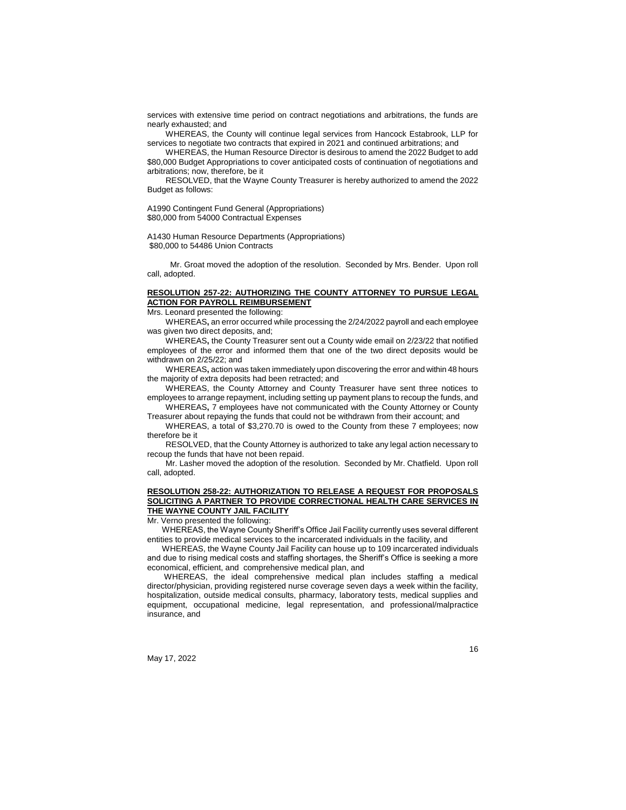services with extensive time period on contract negotiations and arbitrations, the funds are nearly exhausted; and

WHEREAS, the County will continue legal services from Hancock Estabrook, LLP for services to negotiate two contracts that expired in 2021 and continued arbitrations; and

WHEREAS, the Human Resource Director is desirous to amend the 2022 Budget to add \$80,000 Budget Appropriations to cover anticipated costs of continuation of negotiations and arbitrations; now, therefore, be it

RESOLVED, that the Wayne County Treasurer is hereby authorized to amend the 2022 Budget as follows:

A1990 Contingent Fund General (Appropriations) \$80,000 from 54000 Contractual Expenses

A1430 Human Resource Departments (Appropriations) \$80,000 to 54486 Union Contracts

Mr. Groat moved the adoption of the resolution. Seconded by Mrs. Bender. Upon roll call, adopted.

## **RESOLUTION 257-22: AUTHORIZING THE COUNTY ATTORNEY TO PURSUE LEGAL ACTION FOR PAYROLL REIMBURSEMENT**

Mrs. Leonard presented the following:

WHEREAS**,** an error occurred while processing the 2/24/2022 payroll and each employee was given two direct deposits, and;

WHEREAS**,** the County Treasurer sent out a County wide email on 2/23/22 that notified employees of the error and informed them that one of the two direct deposits would be withdrawn on 2/25/22; and

WHEREAS**,** action was taken immediately upon discovering the error and within 48 hours the majority of extra deposits had been retracted; and

WHEREAS, the County Attorney and County Treasurer have sent three notices to employees to arrange repayment, including setting up payment plans to recoup the funds, and WHEREAS**,** 7 employees have not communicated with the County Attorney or County

Treasurer about repaying the funds that could not be withdrawn from their account; and

WHEREAS, a total of \$3,270.70 is owed to the County from these 7 employees; now therefore be it

RESOLVED, that the County Attorney is authorized to take any legal action necessary to recoup the funds that have not been repaid.

Mr. Lasher moved the adoption of the resolution. Seconded by Mr. Chatfield. Upon roll call, adopted.

## **RESOLUTION 258-22: AUTHORIZATION TO RELEASE A REQUEST FOR PROPOSALS SOLICITING A PARTNER TO PROVIDE CORRECTIONAL HEALTH CARE SERVICES IN THE WAYNE COUNTY JAIL FACILITY**

Mr. Verno presented the following:

WHEREAS, the Wayne County Sheriff's Office Jail Facility currently uses several different entities to provide medical services to the incarcerated individuals in the facility, and

WHEREAS, the Wayne County Jail Facility can house up to 109 incarcerated individuals and due to rising medical costs and staffing shortages, the Sheriff's Office is seeking a more economical, efficient, and comprehensive medical plan, and

WHEREAS, the ideal comprehensive medical plan includes staffing a medical director/physician, providing registered nurse coverage seven days a week within the facility, hospitalization, outside medical consults, pharmacy, laboratory tests, medical supplies and equipment, occupational medicine, legal representation, and professional/malpractice insurance, and

May 17, 2022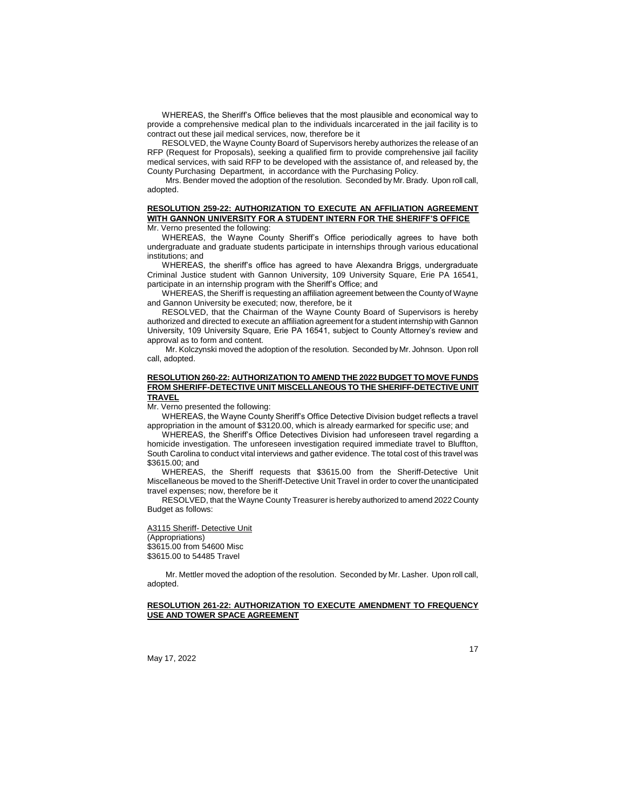WHEREAS, the Sheriff's Office believes that the most plausible and economical way to provide a comprehensive medical plan to the individuals incarcerated in the jail facility is to contract out these jail medical services, now, therefore be it

RESOLVED, the Wayne County Board of Supervisors hereby authorizes the release of an RFP (Request for Proposals), seeking a qualified firm to provide comprehensive jail facility medical services, with said RFP to be developed with the assistance of, and released by, the County Purchasing Department, in accordance with the Purchasing Policy.

Mrs. Bender moved the adoption of the resolution. Seconded by Mr. Brady. Upon roll call, adopted.

#### **RESOLUTION 259-22: AUTHORIZATION TO EXECUTE AN AFFILIATION AGREEMENT WITH GANNON UNIVERSITY FOR A STUDENT INTERN FOR THE SHERIFF'S OFFICE** Mr. Verno presented the following:

WHEREAS, the Wayne County Sheriff's Office periodically agrees to have both undergraduate and graduate students participate in internships through various educational institutions; and

WHEREAS, the sheriff's office has agreed to have Alexandra Briggs, undergraduate Criminal Justice student with Gannon University, 109 University Square, Erie PA 16541, participate in an internship program with the Sheriff's Office; and

WHEREAS, the Sheriff is requesting an affiliation agreement between the County of Wayne and Gannon University be executed; now, therefore, be it

RESOLVED, that the Chairman of the Wayne County Board of Supervisors is hereby authorized and directed to execute an affiliation agreement for a student internship with Gannon University, 109 University Square, Erie PA 16541, subject to County Attorney's review and approval as to form and content.

Mr. Kolczynski moved the adoption of the resolution. Seconded by Mr. Johnson. Upon roll call, adopted.

## **RESOLUTION 260-22: AUTHORIZATION TO AMEND THE 2022 BUDGET TO MOVE FUNDS FROM SHERIFF-DETECTIVE UNIT MISCELLANEOUS TO THE SHERIFF-DETECTIVE UNIT TRAVEL**

Mr. Verno presented the following:

WHEREAS, the Wayne County Sheriff's Office Detective Division budget reflects a travel appropriation in the amount of \$3120.00, which is already earmarked for specific use; and

WHEREAS, the Sheriff's Office Detectives Division had unforeseen travel regarding a homicide investigation. The unforeseen investigation required immediate travel to Bluffton, South Carolina to conduct vital interviews and gather evidence. The total cost of this travel was \$3615.00; and

WHEREAS, the Sheriff requests that \$3615.00 from the Sheriff-Detective Unit Miscellaneous be moved to the Sheriff-Detective Unit Travel in order to cover the unanticipated travel expenses; now, therefore be it

RESOLVED, that the Wayne County Treasurer is hereby authorized to amend 2022 County Budget as follows:

A3115 Sheriff- Detective Unit

(Appropriations) \$3615.00 from 54600 Misc \$3615.00 to 54485 Travel

Mr. Mettler moved the adoption of the resolution. Seconded by Mr. Lasher. Upon roll call, adopted.

#### **RESOLUTION 261-22: AUTHORIZATION TO EXECUTE AMENDMENT TO FREQUENCY USE AND TOWER SPACE AGREEMENT**

May 17, 2022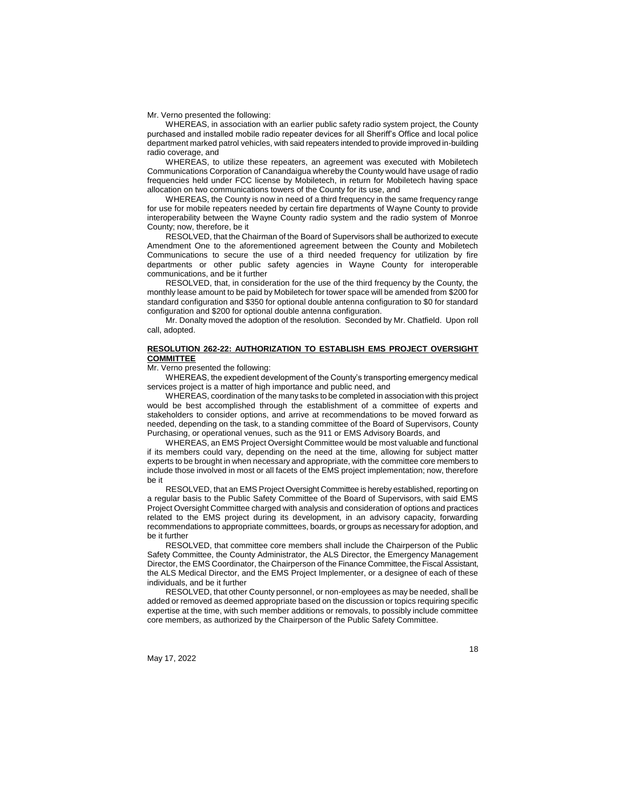#### Mr. Verno presented the following:

WHEREAS, in association with an earlier public safety radio system project, the County purchased and installed mobile radio repeater devices for all Sheriff's Office and local police department marked patrol vehicles, with said repeaters intended to provide improved in-building radio coverage, and

WHEREAS, to utilize these repeaters, an agreement was executed with Mobiletech Communications Corporation of Canandaigua whereby the County would have usage of radio frequencies held under FCC license by Mobiletech, in return for Mobiletech having space allocation on two communications towers of the County for its use, and

WHEREAS, the County is now in need of a third frequency in the same frequency range for use for mobile repeaters needed by certain fire departments of Wayne County to provide interoperability between the Wayne County radio system and the radio system of Monroe County; now, therefore, be it

RESOLVED, that the Chairman of the Board of Supervisors shall be authorized to execute Amendment One to the aforementioned agreement between the County and Mobiletech Communications to secure the use of a third needed frequency for utilization by fire departments or other public safety agencies in Wayne County for interoperable communications, and be it further

RESOLVED, that, in consideration for the use of the third frequency by the County, the monthly lease amount to be paid by Mobiletech for tower space will be amended from \$200 for standard configuration and \$350 for optional double antenna configuration to \$0 for standard configuration and \$200 for optional double antenna configuration.

Mr. Donalty moved the adoption of the resolution. Seconded by Mr. Chatfield. Upon roll call, adopted.

# **RESOLUTION 262-22: AUTHORIZATION TO ESTABLISH EMS PROJECT OVERSIGHT COMMITTEE**

Mr. Verno presented the following:

WHEREAS, the expedient development of the County's transporting emergency medical services project is a matter of high importance and public need, and

WHEREAS, coordination of the many tasks to be completed in association with this project would be best accomplished through the establishment of a committee of experts and stakeholders to consider options, and arrive at recommendations to be moved forward as needed, depending on the task, to a standing committee of the Board of Supervisors, County Purchasing, or operational venues, such as the 911 or EMS Advisory Boards, and

WHEREAS, an EMS Project Oversight Committee would be most valuable and functional if its members could vary, depending on the need at the time, allowing for subject matter experts to be brought in when necessary and appropriate, with the committee core members to include those involved in most or all facets of the EMS project implementation; now, therefore be it

RESOLVED, that an EMS Project Oversight Committee is hereby established, reporting on a regular basis to the Public Safety Committee of the Board of Supervisors, with said EMS Project Oversight Committee charged with analysis and consideration of options and practices related to the EMS project during its development, in an advisory capacity, forwarding recommendations to appropriate committees, boards, or groups as necessary for adoption, and be it further

RESOLVED, that committee core members shall include the Chairperson of the Public Safety Committee, the County Administrator, the ALS Director, the Emergency Management Director, the EMS Coordinator, the Chairperson of the Finance Committee, the Fiscal Assistant, the ALS Medical Director, and the EMS Project Implementer, or a designee of each of these individuals, and be it further

RESOLVED, that other County personnel, or non-employees as may be needed, shall be added or removed as deemed appropriate based on the discussion or topics requiring specific expertise at the time, with such member additions or removals, to possibly include committee core members, as authorized by the Chairperson of the Public Safety Committee.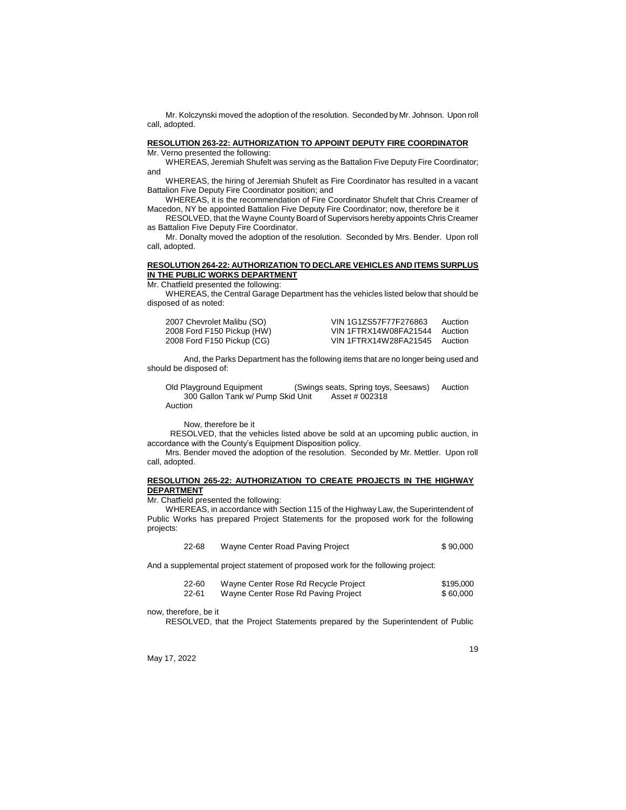Mr. Kolczynski moved the adoption of the resolution. Seconded by Mr. Johnson. Upon roll call, adopted.

#### **RESOLUTION 263-22: AUTHORIZATION TO APPOINT DEPUTY FIRE COORDINATOR** Mr. Verno presented the following:

WHEREAS, Jeremiah Shufelt was serving as the Battalion Five Deputy Fire Coordinator; and

WHEREAS, the hiring of Jeremiah Shufelt as Fire Coordinator has resulted in a vacant Battalion Five Deputy Fire Coordinator position; and

WHEREAS, it is the recommendation of Fire Coordinator Shufelt that Chris Creamer of Macedon, NY be appointed Battalion Five Deputy Fire Coordinator; now, therefore be it

RESOLVED, that the Wayne County Board of Supervisors hereby appoints Chris Creamer as Battalion Five Deputy Fire Coordinator.

Mr. Donalty moved the adoption of the resolution. Seconded by Mrs. Bender. Upon roll call, adopted.

# **RESOLUTION 264-22: AUTHORIZATION TO DECLARE VEHICLES AND ITEMS SURPLUS IN THE PUBLIC WORKS DEPARTMENT**

Mr. Chatfield presented the following:

WHEREAS, the Central Garage Department has the vehicles listed below that should be disposed of as noted:

| 2007 Chevrolet Malibu (SO) | VIN 1G1ZS57F77F276863 | Auction |
|----------------------------|-----------------------|---------|
| 2008 Ford F150 Pickup (HW) | VIN 1FTRX14W08FA21544 | Auction |
| 2008 Ford F150 Pickup (CG) | VIN 1FTRX14W28FA21545 | Auction |

And, the Parks Department has the following items that are no longer being used and should be disposed of:

Old Playground Equipment (Swings seats, Spring toys, Seesaws) Auction 300 Gallon Tank w/ Pump Skid Unit Asset # 002318 Auction

Now, therefore be it

RESOLVED, that the vehicles listed above be sold at an upcoming public auction, in accordance with the County's Equipment Disposition policy.

Mrs. Bender moved the adoption of the resolution. Seconded by Mr. Mettler. Upon roll call, adopted.

#### **RESOLUTION 265-22: AUTHORIZATION TO CREATE PROJECTS IN THE HIGHWAY DEPARTMENT**

Mr. Chatfield presented the following:

WHEREAS, in accordance with Section 115 of the Highway Law, the Superintendent of Public Works has prepared Project Statements for the proposed work for the following projects:

| 22-68 | Wayne Center Road Paving Project | \$90,000 |
|-------|----------------------------------|----------|
|-------|----------------------------------|----------|

And a supplemental project statement of proposed work for the following project:

| 22-60 | Wayne Center Rose Rd Recycle Project | \$195,000 |
|-------|--------------------------------------|-----------|
| 22-61 | Wayne Center Rose Rd Paving Project  | \$60,000  |

now, therefore, be it

RESOLVED, that the Project Statements prepared by the Superintendent of Public

May 17, 2022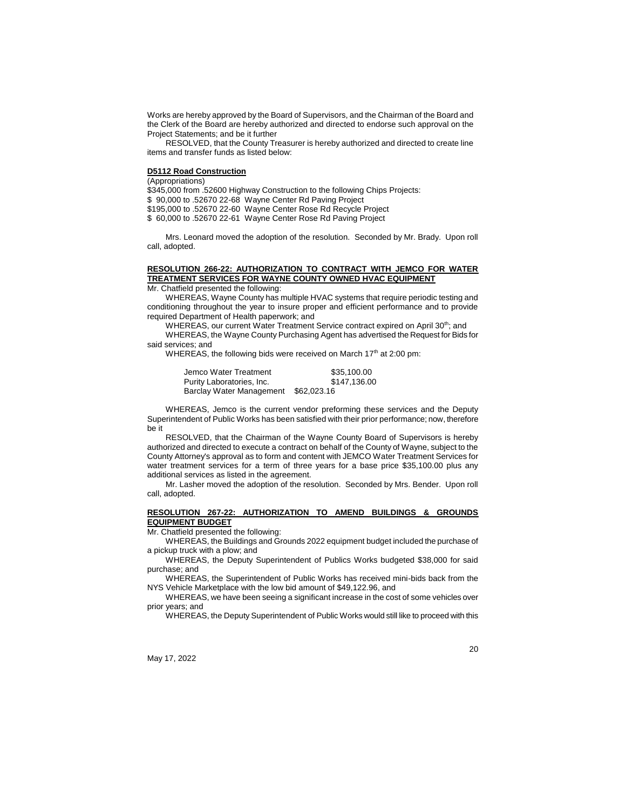Works are hereby approved by the Board of Supervisors, and the Chairman of the Board and the Clerk of the Board are hereby authorized and directed to endorse such approval on the Project Statements; and be it further

RESOLVED, that the County Treasurer is hereby authorized and directed to create line items and transfer funds as listed below:

#### **D5112 Road Construction**

(Appropriations)

\$345,000 from .52600 Highway Construction to the following Chips Projects:

\$ 90,000 to .52670 22-68 Wayne Center Rd Paving Project

\$195,000 to .52670 22-60 Wayne Center Rose Rd Recycle Project

\$ 60,000 to .52670 22-61 Wayne Center Rose Rd Paving Project

Mrs. Leonard moved the adoption of the resolution. Seconded by Mr. Brady. Upon roll call, adopted.

# **RESOLUTION 266-22: AUTHORIZATION TO CONTRACT WITH JEMCO FOR WATER TREATMENT SERVICES FOR WAYNE COUNTY OWNED HVAC EQUIPMENT**

Mr. Chatfield presented the following:

WHEREAS, Wayne County has multiple HVAC systems that require periodic testing and conditioning throughout the year to insure proper and efficient performance and to provide required Department of Health paperwork; and

WHEREAS, our current Water Treatment Service contract expired on April 30<sup>th</sup>; and WHEREAS, the Wayne County Purchasing Agent has advertised the Request for Bids for said services; and

WHEREAS, the following bids were received on March 17<sup>th</sup> at 2:00 pm:

| Jemco Water Treatment     | \$35,100.00  |
|---------------------------|--------------|
| Purity Laboratories, Inc. | \$147.136.00 |
| Barclay Water Management  | \$62,023,16  |

WHEREAS, Jemco is the current vendor preforming these services and the Deputy Superintendent of Public Works has been satisfied with their prior performance; now, therefore be it

RESOLVED, that the Chairman of the Wayne County Board of Supervisors is hereby authorized and directed to execute a contract on behalf of the County of Wayne, subject to the County Attorney's approval as to form and content with JEMCO Water Treatment Services for water treatment services for a term of three years for a base price \$35,100.00 plus any additional services as listed in the agreement.

Mr. Lasher moved the adoption of the resolution. Seconded by Mrs. Bender. Upon roll call, adopted.

## **RESOLUTION 267-22: AUTHORIZATION TO AMEND BUILDINGS & GROUNDS EQUIPMENT BUDGET**

Mr. Chatfield presented the following:

WHEREAS, the Buildings and Grounds 2022 equipment budget included the purchase of a pickup truck with a plow; and

WHEREAS, the Deputy Superintendent of Publics Works budgeted \$38,000 for said purchase; and

WHEREAS, the Superintendent of Public Works has received mini-bids back from the NYS Vehicle Marketplace with the low bid amount of \$49,122.96, and

WHEREAS, we have been seeing a significant increase in the cost of some vehicles over prior years; and

WHEREAS, the Deputy Superintendent of Public Works would still like to proceed with this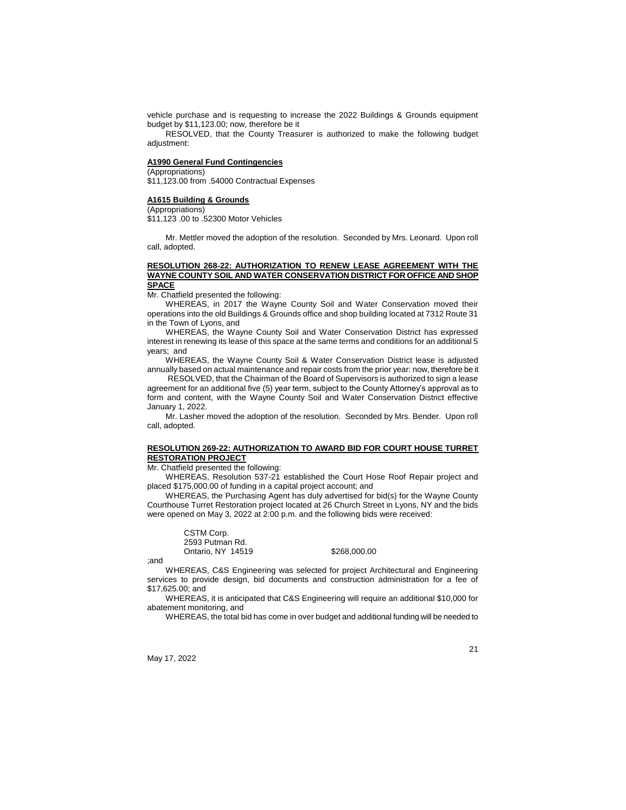vehicle purchase and is requesting to increase the 2022 Buildings & Grounds equipment budget by \$11,123.00; now, therefore be it

RESOLVED, that the County Treasurer is authorized to make the following budget adjustment:

#### **A1990 General Fund Contingencies**

(Appropriations)

\$11,123.00 from .54000 Contractual Expenses

#### **A1615 Building & Grounds**

(Appropriations)

\$11,123 .00 to .52300 Motor Vehicles

Mr. Mettler moved the adoption of the resolution. Seconded by Mrs. Leonard. Upon roll call, adopted.

#### **RESOLUTION 268-22: AUTHORIZATION TO RENEW LEASE AGREEMENT WITH THE WAYNE COUNTY SOIL AND WATER CONSERVATION DISTRICT FOR OFFICE AND SHOP SPACE**

Mr. Chatfield presented the following:

WHEREAS, in 2017 the Wayne County Soil and Water Conservation moved their operations into the old Buildings & Grounds office and shop building located at 7312 Route 31 in the Town of Lyons, and

WHEREAS, the Wayne County Soil and Water Conservation District has expressed interest in renewing its lease of this space at the same terms and conditions for an additional 5 years; and

WHEREAS, the Wayne County Soil & Water Conservation District lease is adjusted annually based on actual maintenance and repair costs from the prior year: now, therefore be it

RESOLVED, that the Chairman of the Board of Supervisors is authorized to sign a lease agreement for an additional five (5) year term, subject to the County Attorney's approval as to form and content, with the Wayne County Soil and Water Conservation District effective January 1, 2022.

Mr. Lasher moved the adoption of the resolution. Seconded by Mrs. Bender. Upon roll call, adopted.

#### **RESOLUTION 269-22: AUTHORIZATION TO AWARD BID FOR COURT HOUSE TURRET RESTORATION PROJECT**

Mr. Chatfield presented the following:

WHEREAS, Resolution 537-21 established the Court Hose Roof Repair project and placed \$175,000.00 of funding in a capital project account; and

WHEREAS, the Purchasing Agent has duly advertised for bid(s) for the Wayne County Courthouse Turret Restoration project located at 26 Church Street in Lyons, NY and the bids were opened on May 3, 2022 at 2:00 p.m. and the following bids were received:

CSTM Corp. 2593 Putman Rd. Ontario, NY 14519 \$268,000.00

;and

WHEREAS, C&S Engineering was selected for project Architectural and Engineering services to provide design, bid documents and construction administration for a fee of \$17,625.00; and

WHEREAS, it is anticipated that C&S Engineering will require an additional \$10,000 for abatement monitoring, and

WHEREAS, the total bid has come in over budget and additional funding will be needed to

May 17, 2022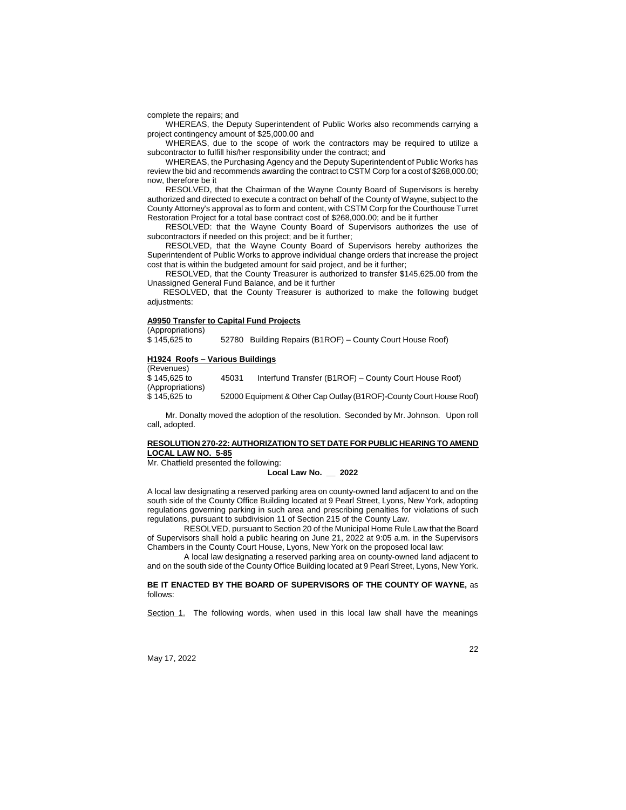complete the repairs; and

WHEREAS, the Deputy Superintendent of Public Works also recommends carrying a project contingency amount of \$25,000.00 and

WHEREAS, due to the scope of work the contractors may be required to utilize a subcontractor to fulfill his/her responsibility under the contract; and

WHEREAS, the Purchasing Agency and the Deputy Superintendent of Public Works has review the bid and recommends awarding the contract to CSTM Corp for a cost of \$268,000.00; now, therefore be it

RESOLVED, that the Chairman of the Wayne County Board of Supervisors is hereby authorized and directed to execute a contract on behalf of the County of Wayne, subject to the County Attorney's approval as to form and content, with CSTM Corp for the Courthouse Turret Restoration Project for a total base contract cost of \$268,000.00; and be it further

RESOLVED: that the Wayne County Board of Supervisors authorizes the use of subcontractors if needed on this project; and be it further;

RESOLVED, that the Wayne County Board of Supervisors hereby authorizes the Superintendent of Public Works to approve individual change orders that increase the project cost that is within the budgeted amount for said project, and be it further;

RESOLVED, that the County Treasurer is authorized to transfer \$145,625.00 from the Unassigned General Fund Balance, and be it further

RESOLVED, that the County Treasurer is authorized to make the following budget adjustments:

# **A9950 Transfer to Capital Fund Projects**

(Appropriations)

 $$145,625$  to  $$52780$  Building Repairs (B1ROF) – County Court House Roof)

#### **H1924 Roofs – Various Buildings**  (Revenues)

| \$145,625 to<br>45031            | Interfund Transfer (B1ROF) – County Court House Roof)               |
|----------------------------------|---------------------------------------------------------------------|
| (Appropriations)<br>\$145,625 to | 52000 Equipment & Other Cap Outlay (B1ROF)-County Court House Roof) |

Mr. Donalty moved the adoption of the resolution. Seconded by Mr. Johnson. Upon roll call, adopted.

## **RESOLUTION 270-22: AUTHORIZATION TO SET DATE FOR PUBLIC HEARING TO AMEND LOCAL LAW NO. 5-85**

Mr. Chatfield presented the following:

#### **Local Law No. \_\_ 2022**

A local law designating a reserved parking area on county-owned land adjacent to and on the south side of the County Office Building located at 9 Pearl Street, Lyons, New York, adopting regulations governing parking in such area and prescribing penalties for violations of such regulations, pursuant to subdivision 11 of Section 215 of the County Law.

RESOLVED, pursuant to Section 20 of the Municipal Home Rule Law that the Board of Supervisors shall hold a public hearing on June 21, 2022 at 9:05 a.m. in the Supervisors Chambers in the County Court House, Lyons, New York on the proposed local law:

A local law designating a reserved parking area on county-owned land adjacent to and on the south side of the County Office Building located at 9 Pearl Street, Lyons, New York.

**BE IT ENACTED BY THE BOARD OF SUPERVISORS OF THE COUNTY OF WAYNE,** as follows:

Section 1. The following words, when used in this local law shall have the meanings

May 17, 2022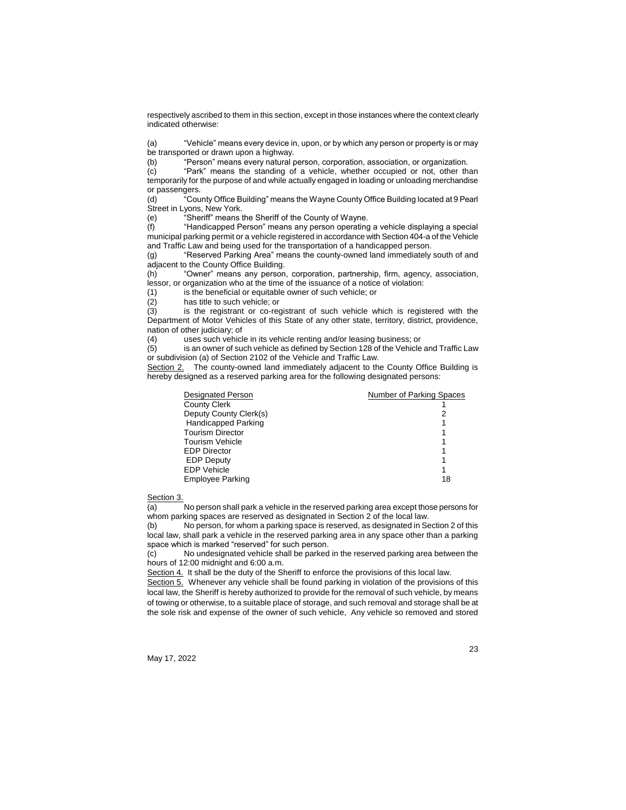respectively ascribed to them in this section, except in those instances where the context clearly indicated otherwise:

(a) "Vehicle" means every device in, upon, or by which any person or property is or may be transported or drawn upon a highway.

(b) "Person" means every natural person, corporation, association, or organization.

(c) "Park" means the standing of a vehicle, whether occupied or not, other than temporarily for the purpose of and while actually engaged in loading or unloading merchandise or passengers.

(d) "County Office Building" means the Wayne County Office Building located at 9 Pearl Street in Lyons, New York.

(e) "Sheriff" means the Sheriff of the County of Wayne.

(f) "Handicapped Person" means any person operating a vehicle displaying a special municipal parking permit or a vehicle registered in accordance with Section 404-a of the Vehicle and Traffic Law and being used for the transportation of a handicapped person.

(g) "Reserved Parking Area" means the county-owned land immediately south of and adjacent to the County Office Building.

(h) "Owner" means any person, corporation, partnership, firm, agency, association, lessor, or organization who at the time of the issuance of a notice of violation:

(1) is the beneficial or equitable owner of such vehicle; or has title to such vehicle; or

 $(2)$  has title to such vehicle; or  $(3)$  is the registrant or co-regional

is the registrant or co-registrant of such vehicle which is registered with the Department of Motor Vehicles of this State of any other state, territory, district, providence, nation of other judiciary; of

(4) uses such vehicle in its vehicle renting and/or leasing business; or

(5) is an owner of such vehicle as defined by Section 128 of the Vehicle and Traffic Law or subdivision (a) of Section 2102 of the Vehicle and Traffic Law.

Section 2. The county-owned land immediately adjacent to the County Office Building is hereby designed as a reserved parking area for the following designated persons:

| <b>Designated Person</b>   | Number of Parking Spaces |
|----------------------------|--------------------------|
| <b>County Clerk</b>        |                          |
| Deputy County Clerk(s)     | 2                        |
| <b>Handicapped Parking</b> |                          |
| <b>Tourism Director</b>    |                          |
| <b>Tourism Vehicle</b>     |                          |
| <b>EDP Director</b>        |                          |
| <b>EDP Deputy</b>          |                          |
| <b>EDP Vehicle</b>         |                          |
| <b>Employee Parking</b>    | 18                       |

Section 3.

(a) No person shall park a vehicle in the reserved parking area except those persons for whom parking spaces are reserved as designated in Section 2 of the local law.

(b) No person, for whom a parking space is reserved, as designated in Section 2 of this local law, shall park a vehicle in the reserved parking area in any space other than a parking space which is marked "reserved" for such person.

(c) No undesignated vehicle shall be parked in the reserved parking area between the hours of 12:00 midnight and 6:00 a.m.

Section 4. It shall be the duty of the Sheriff to enforce the provisions of this local law.

Section 5. Whenever any vehicle shall be found parking in violation of the provisions of this local law, the Sheriff is hereby authorized to provide for the removal of such vehicle, by means of towing or otherwise, to a suitable place of storage, and such removal and storage shall be at the sole risk and expense of the owner of such vehicle, Any vehicle so removed and stored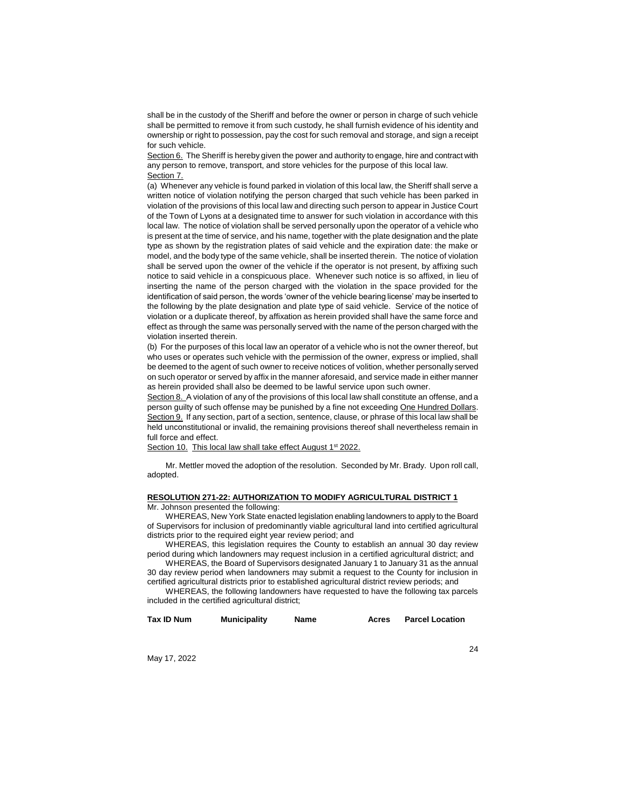shall be in the custody of the Sheriff and before the owner or person in charge of such vehicle shall be permitted to remove it from such custody, he shall furnish evidence of his identity and ownership or right to possession, pay the cost for such removal and storage, and sign a receipt for such vehicle.

Section 6. The Sheriff is hereby given the power and authority to engage, hire and contract with any person to remove, transport, and store vehicles for the purpose of this local law. Section 7.

(a) Whenever any vehicle is found parked in violation of this local law, the Sheriff shall serve a written notice of violation notifying the person charged that such vehicle has been parked in violation of the provisions of this local law and directing such person to appear in Justice Court of the Town of Lyons at a designated time to answer for such violation in accordance with this local law. The notice of violation shall be served personally upon the operator of a vehicle who is present at the time of service, and his name, together with the plate designation and the plate type as shown by the registration plates of said vehicle and the expiration date: the make or model, and the body type of the same vehicle, shall be inserted therein. The notice of violation shall be served upon the owner of the vehicle if the operator is not present, by affixing such notice to said vehicle in a conspicuous place. Whenever such notice is so affixed, in lieu of inserting the name of the person charged with the violation in the space provided for the identification of said person, the words 'owner of the vehicle bearing license' may be inserted to the following by the plate designation and plate type of said vehicle. Service of the notice of violation or a duplicate thereof, by affixation as herein provided shall have the same force and effect as through the same was personally served with the name of the person charged with the violation inserted therein.

(b) For the purposes of this local law an operator of a vehicle who is not the owner thereof, but who uses or operates such vehicle with the permission of the owner, express or implied, shall be deemed to the agent of such owner to receive notices of volition, whether personally served on such operator or served by affix in the manner aforesaid, and service made in either manner as herein provided shall also be deemed to be lawful service upon such owner.

Section 8. A violation of any of the provisions of this local law shall constitute an offense, and a person guilty of such offense may be punished by a fine not exceeding One Hundred Dollars. Section 9. If any section, part of a section, sentence, clause, or phrase of this local law shall be held unconstitutional or invalid, the remaining provisions thereof shall nevertheless remain in full force and effect.

Section 10. This local law shall take effect August 1<sup>st</sup> 2022.

Mr. Mettler moved the adoption of the resolution. Seconded by Mr. Brady. Upon roll call, adopted.

# **RESOLUTION 271-22: AUTHORIZATION TO MODIFY AGRICULTURAL DISTRICT 1**

Mr. Johnson presented the following:

WHEREAS, New York State enacted legislation enabling landowners to apply to the Board of Supervisors for inclusion of predominantly viable agricultural land into certified agricultural districts prior to the required eight year review period; and

WHEREAS, this legislation requires the County to establish an annual 30 day review period during which landowners may request inclusion in a certified agricultural district; and

WHEREAS, the Board of Supervisors designated January 1 to January 31 as the annual 30 day review period when landowners may submit a request to the County for inclusion in certified agricultural districts prior to established agricultural district review periods; and

WHEREAS, the following landowners have requested to have the following tax parcels included in the certified agricultural district;

24

| Tax ID Num | <b>Municipality</b> | Name | Acres | <b>Parcel Location</b> |
|------------|---------------------|------|-------|------------------------|
|            |                     |      |       |                        |

May 17, 2022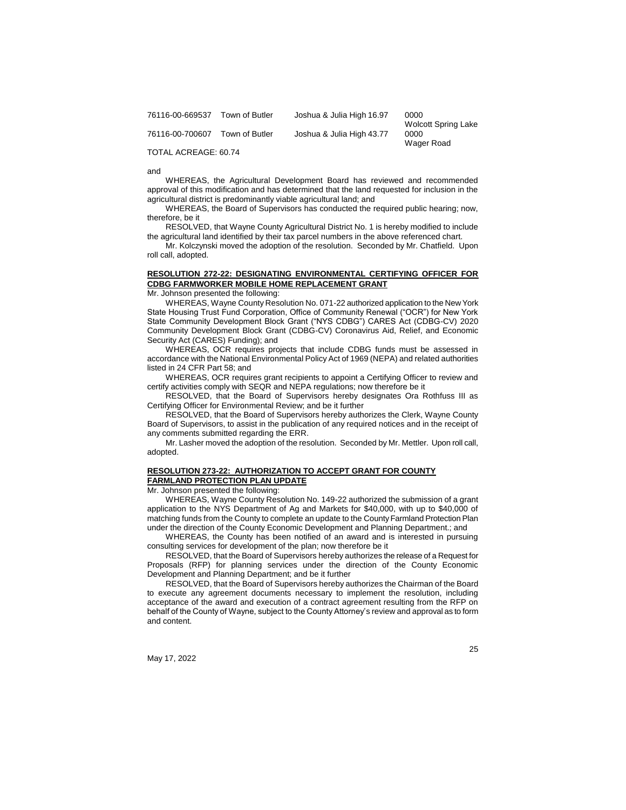| 76116-00-669537 | Town of Butler | Joshua & Julia High 16.97 | 0000                       |
|-----------------|----------------|---------------------------|----------------------------|
|                 |                |                           | <b>Wolcott Spring Lake</b> |
| 76116-00-700607 | Town of Butler | Joshua & Julia High 43.77 | 0000                       |
|                 |                |                           | Wager Road                 |

TOTAL ACREAGE: 60.74

and

WHEREAS, the Agricultural Development Board has reviewed and recommended approval of this modification and has determined that the land requested for inclusion in the agricultural district is predominantly viable agricultural land; and

WHEREAS, the Board of Supervisors has conducted the required public hearing; now, therefore, be it

RESOLVED, that Wayne County Agricultural District No. 1 is hereby modified to include the agricultural land identified by their tax parcel numbers in the above referenced chart.

Mr. Kolczynski moved the adoption of the resolution. Seconded by Mr. Chatfield. Upon roll call, adopted.

# **RESOLUTION 272-22: DESIGNATING ENVIRONMENTAL CERTIFYING OFFICER FOR CDBG FARMWORKER MOBILE HOME REPLACEMENT GRANT**

Mr. Johnson presented the following:

WHEREAS, Wayne County Resolution No. 071-22 authorized application to the New York State Housing Trust Fund Corporation, Office of Community Renewal ("OCR") for New York State Community Development Block Grant ("NYS CDBG") CARES Act (CDBG-CV) 2020 Community Development Block Grant (CDBG-CV) Coronavirus Aid, Relief, and Economic Security Act (CARES) Funding); and

WHEREAS, OCR requires projects that include CDBG funds must be assessed in accordance with the National Environmental Policy Act of 1969 (NEPA) and related authorities listed in 24 CFR Part 58; and

WHEREAS, OCR requires grant recipients to appoint a Certifying Officer to review and certify activities comply with SEQR and NEPA regulations; now therefore be it

RESOLVED, that the Board of Supervisors hereby designates Ora Rothfuss III as Certifying Officer for Environmental Review; and be it further

RESOLVED, that the Board of Supervisors hereby authorizes the Clerk, Wayne County Board of Supervisors, to assist in the publication of any required notices and in the receipt of any comments submitted regarding the ERR.

Mr. Lasher moved the adoption of the resolution. Seconded by Mr. Mettler. Upon roll call, adopted.

#### **RESOLUTION 273-22: AUTHORIZATION TO ACCEPT GRANT FOR COUNTY FARMLAND PROTECTION PLAN UPDATE**

Mr. Johnson presented the following:

WHEREAS, Wayne County Resolution No. 149-22 authorized the submission of a grant application to the NYS Department of Ag and Markets for \$40,000, with up to \$40,000 of matching funds from the County to complete an update to the County Farmland Protection Plan under the direction of the County Economic Development and Planning Department.; and

WHEREAS, the County has been notified of an award and is interested in pursuing consulting services for development of the plan; now therefore be it

RESOLVED, that the Board of Supervisors hereby authorizes the release of a Request for Proposals (RFP) for planning services under the direction of the County Economic Development and Planning Department; and be it further

RESOLVED, that the Board of Supervisors hereby authorizes the Chairman of the Board to execute any agreement documents necessary to implement the resolution, including acceptance of the award and execution of a contract agreement resulting from the RFP on behalf of the County of Wayne, subject to the County Attorney's review and approval as to form and content.

May 17, 2022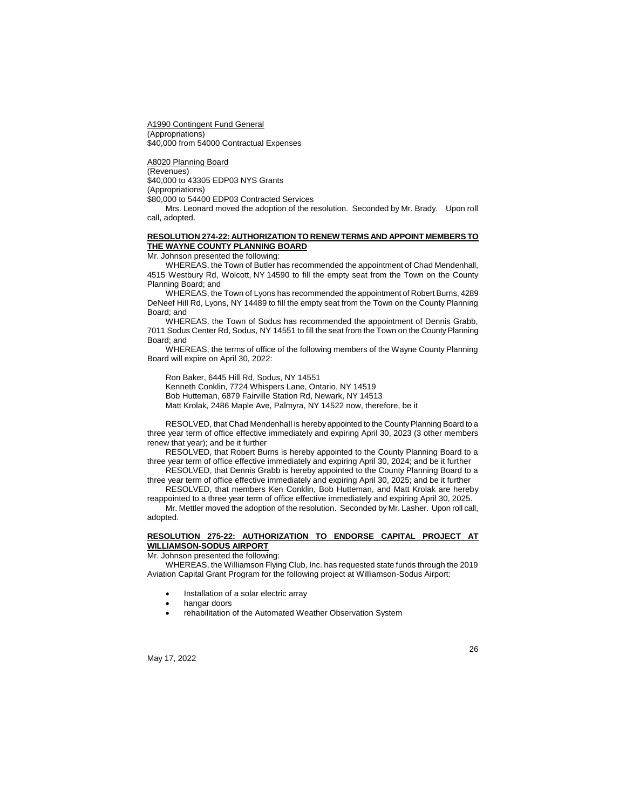A1990 Contingent Fund General (Appropriations) \$40,000 from 54000 Contractual Expenses

A8020 Planning Board (Revenues) \$40,000 to 43305 EDP03 NYS Grants (Appropriations) \$80,000 to 54400 EDP03 Contracted Services

Mrs. Leonard moved the adoption of the resolution. Seconded by Mr. Brady. Upon roll call, adopted.

# **RESOLUTION 274-22: AUTHORIZATION TO RENEW TERMS AND APPOINT MEMBERS TO THE WAYNE COUNTY PLANNING BOARD**

Mr. Johnson presented the following:

WHEREAS, the Town of Butler has recommended the appointment of Chad Mendenhall, 4515 Westbury Rd, Wolcott, NY 14590 to fill the empty seat from the Town on the County Planning Board; and

WHEREAS, the Town of Lyons has recommended the appointment of Robert Burns, 4289 DeNeef Hill Rd, Lyons, NY 14489 to fill the empty seat from the Town on the County Planning Board; and

WHEREAS, the Town of Sodus has recommended the appointment of Dennis Grabb, 7011 Sodus Center Rd, Sodus, NY 14551 to fill the seat from the Town on the County Planning Board; and

WHEREAS, the terms of office of the following members of the Wayne County Planning Board will expire on April 30, 2022:

Ron Baker, 6445 Hill Rd, Sodus, NY 14551 Kenneth Conklin, 7724 Whispers Lane, Ontario, NY 14519 Bob Hutteman, 6879 Fairville Station Rd, Newark, NY 14513 Matt Krolak, 2486 Maple Ave, Palmyra, NY 14522 now, therefore, be it

RESOLVED, that Chad Mendenhall is hereby appointed to the County Planning Board to a three year term of office effective immediately and expiring April 30, 2023 (3 other members renew that year); and be it further

RESOLVED, that Robert Burns is hereby appointed to the County Planning Board to a three year term of office effective immediately and expiring April 30, 2024; and be it further

RESOLVED, that Dennis Grabb is hereby appointed to the County Planning Board to a three year term of office effective immediately and expiring April 30, 2025; and be it further

RESOLVED, that members Ken Conklin, Bob Hutteman, and Matt Krolak are hereby reappointed to a three year term of office effective immediately and expiring April 30, 2025. Mr. Mettler moved the adoption of the resolution. Seconded by Mr. Lasher. Upon roll call,

adopted.

# **RESOLUTION 275-22: AUTHORIZATION TO ENDORSE CAPITAL PROJECT AT WILLIAMSON-SODUS AIRPORT**

Mr. Johnson presented the following:

WHEREAS, the Williamson Flying Club, Inc. has requested state funds through the 2019 Aviation Capital Grant Program for the following project at Williamson-Sodus Airport:

- Installation of a solar electric array
- hangar doors
- rehabilitation of the Automated Weather Observation System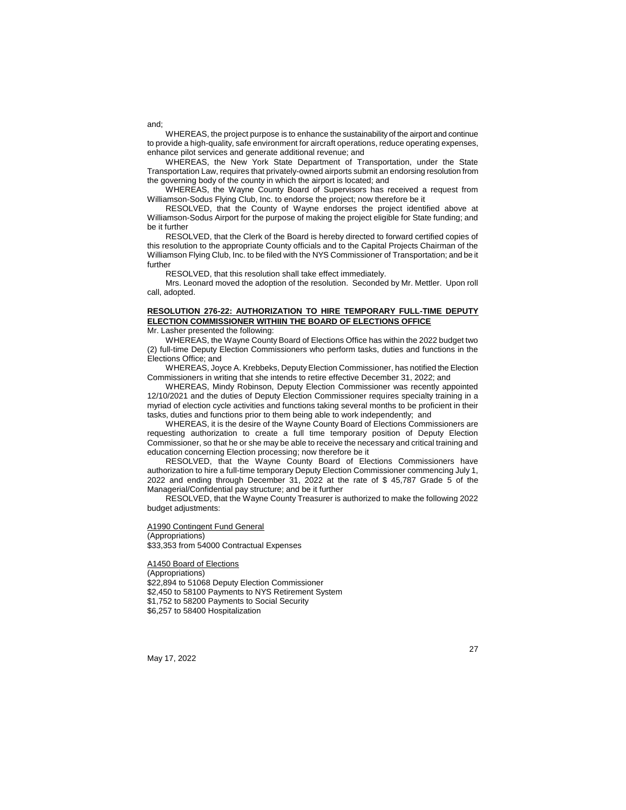WHEREAS, the project purpose is to enhance the sustainability of the airport and continue to provide a high-quality, safe environment for aircraft operations, reduce operating expenses, enhance pilot services and generate additional revenue; and

WHEREAS, the New York State Department of Transportation, under the State Transportation Law, requires that privately-owned airports submit an endorsing resolution from the governing body of the county in which the airport is located; and

WHEREAS, the Wayne County Board of Supervisors has received a request from Williamson-Sodus Flying Club, Inc. to endorse the project; now therefore be it

RESOLVED, that the County of Wayne endorses the project identified above at Williamson-Sodus Airport for the purpose of making the project eligible for State funding; and be it further

RESOLVED, that the Clerk of the Board is hereby directed to forward certified copies of this resolution to the appropriate County officials and to the Capital Projects Chairman of the Williamson Flying Club, Inc. to be filed with the NYS Commissioner of Transportation; and be it further

RESOLVED, that this resolution shall take effect immediately.

Mrs. Leonard moved the adoption of the resolution. Seconded by Mr. Mettler. Upon roll call, adopted.

# **RESOLUTION 276-22: AUTHORIZATION TO HIRE TEMPORARY FULL-TIME DEPUTY ELECTION COMMISSIONER WITHIIN THE BOARD OF ELECTIONS OFFICE**

Mr. Lasher presented the following:

WHEREAS, the Wayne County Board of Elections Office has within the 2022 budget two (2) full-time Deputy Election Commissioners who perform tasks, duties and functions in the Elections Office; and

WHEREAS, Joyce A. Krebbeks, Deputy Election Commissioner, has notified the Election Commissioners in writing that she intends to retire effective December 31, 2022; and

WHEREAS, Mindy Robinson, Deputy Election Commissioner was recently appointed 12/10/2021 and the duties of Deputy Election Commissioner requires specialty training in a myriad of election cycle activities and functions taking several months to be proficient in their tasks, duties and functions prior to them being able to work independently; and

WHEREAS, it is the desire of the Wayne County Board of Elections Commissioners are requesting authorization to create a full time temporary position of Deputy Election Commissioner, so that he or she may be able to receive the necessary and critical training and education concerning Election processing; now therefore be it

RESOLVED, that the Wayne County Board of Elections Commissioners have authorization to hire a full-time temporary Deputy Election Commissioner commencing July 1, 2022 and ending through December 31, 2022 at the rate of \$ 45,787 Grade 5 of the Managerial/Confidential pay structure; and be it further

RESOLVED, that the Wayne County Treasurer is authorized to make the following 2022 budget adjustments:

A1990 Contingent Fund General (Appropriations) \$33,353 from 54000 Contractual Expenses

A1450 Board of Elections

(Appropriations) \$22,894 to 51068 Deputy Election Commissioner \$2,450 to 58100 Payments to NYS Retirement System \$1,752 to 58200 Payments to Social Security \$6,257 to 58400 Hospitalization

May 17, 2022

27

and;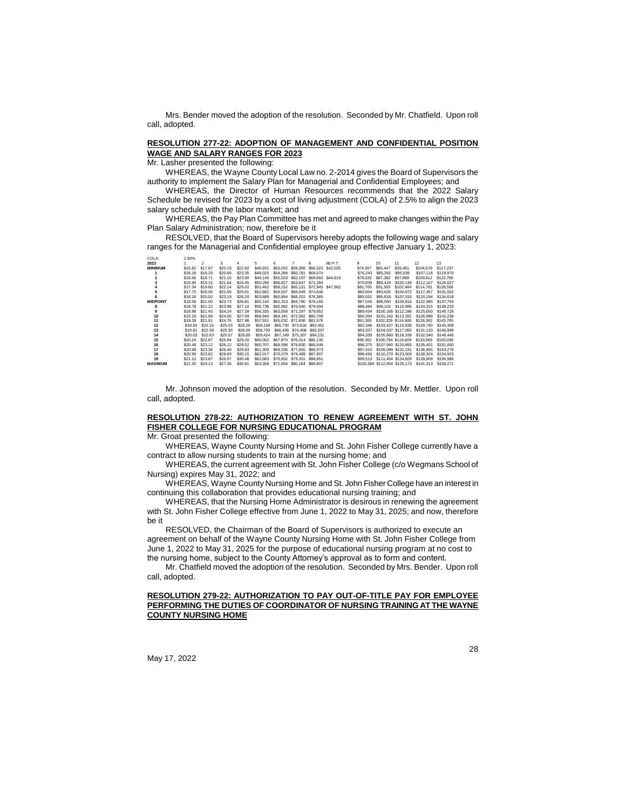Mrs. Bender moved the adoption of the resolution. Seconded by Mr. Chatfield. Upon roll call, adopted.

#### **RESOLUTION 277-22: ADOPTION OF MANAGEMENT AND CONFIDENTIAL POSITION WAGE AND SALARY RANGES FOR 2023**

Mr. Lasher presented the following:

WHEREAS, the Wayne County Local Law no. 2-2014 gives the Board of Supervisors the authority to implement the Salary Plan for Managerial and Confidential Employees; and

WHEREAS, the Director of Human Resources recommends that the 2022 Salary Schedule be revised for 2023 by a cost of living adjustment (COLA) of 2.5% to align the 2023 salary schedule with the labor market; and

WHEREAS, the Pay Plan Committee has met and agreed to make changes within the Pay Plan Salary Administration; now, therefore be it

RESOLVED, that the Board of Supervisors hereby adopts the following wage and salary ranges for the Managerial and Confidential employee group effective January 1, 2023:

| COLA:           | 2.50%              |                |         |         |          |   |                                     |   |         |          |                 |                               |                               |           |
|-----------------|--------------------|----------------|---------|---------|----------|---|-------------------------------------|---|---------|----------|-----------------|-------------------------------|-------------------------------|-----------|
| 2023            |                    | $\mathfrak{p}$ | 3       | 4       | 5        | 6 |                                     | 8 | 8b P.T. | 9.       | 10 <sup>1</sup> | 11                            | 12                            | 13        |
| <b>MINIMUM</b>  | \$15.82            | \$17.87        | \$20.19 | \$22.82 | \$46,931 |   | \$53.032 \$59.396 \$66.523 \$42.025 |   |         | \$74.507 | \$83,447        | \$93,461                      | \$104,676                     | \$117,237 |
|                 | \$16.18            | \$18.29        | \$20.66 | \$23.35 | \$48,025 |   | \$54.268 \$60.781 \$68.074          |   |         | \$76,243 | \$85,392        | \$95,639                      | \$107,116                     | \$119,970 |
|                 | \$16.56            | \$18.71        | \$21.15 | \$23.90 | \$49,145 |   | \$55.533 \$62.197 \$69.660 \$44.819 |   |         | \$78,020 | \$87,382        | \$97,868                      | \$109,612                     | \$122,766 |
|                 | \$16.95            | \$19.15        | \$21.64 | \$24.45 | \$50,290 |   | \$56.827 \$63.647 \$71.284          |   |         | \$79,839 | \$89,419        | \$100.149                     | \$112,167                     | \$125,627 |
|                 | \$17.34            | \$19.60        | \$22.14 | \$25.02 | \$51.462 |   | \$58.152 \$65.131 \$72.945 \$47.962 |   |         | \$81,700 | \$91,503        | \$102.484                     | \$114,781                     | \$128,556 |
|                 | \$17.75            | \$20.05        | \$22.66 | \$25.61 | \$52,662 |   | \$59,507 \$66,649 \$74,646          |   |         | \$83,604 | \$93,635        | \$104,872                     | \$117,457                     | \$131.552 |
|                 | S <sub>18.16</sub> | \$20.52        | \$23.19 | \$26.20 | \$53,889 |   | \$60,894 \$68,202 \$76,385          |   |         | \$85,552 | \$95,818        | \$107,316                     | \$120,194                     | \$134,618 |
| <b>MIDPOINT</b> | \$18.58            | \$21.00        | \$23.73 | \$26.81 | \$55,144 |   | \$62,313 \$69,790 \$78,165          |   |         | \$87,545 | \$98,050        | \$109,816                     | \$122,995                     | \$137,754 |
| 8               | \$18.78            | \$21.22        | \$23.98 | \$27.10 | \$55,736 |   | \$62,982 \$70,540 \$79,004          |   |         | \$88,484 |                 | \$99.102 \$110.995            | \$124,315                     | \$139,233 |
| 9               | \$18.98            | \$21.45        | \$24.24 | \$27.39 | \$56,335 |   | \$63,658 \$71,297 \$79,852          |   |         | \$89,434 |                 | \$100.166 \$112.186           | \$125,650                     | \$140,728 |
| 10              | \$19.19            | \$21.68        | \$24.50 | \$27.69 | \$56,940 |   | \$64.341 \$72.062 \$80.709          |   |         | \$90,394 |                 | \$101.242 \$113.391           | \$126,998                     | \$142,238 |
| 11              | \$19.39            | \$21.91        | \$24.76 | \$27.98 | \$57,551 |   | \$65,032 \$72,836 \$81,576          |   |         | \$91,365 |                 |                               | \$102.329 \$114.608 \$128.362 | \$143,765 |
| 12              | \$19.60            | \$22.15        | \$25.03 | \$28.28 | \$58,169 |   | \$65,730 \$73,618 \$82,451          |   |         | \$92,346 |                 | \$103.427 \$115.838           | \$129,740                     | \$145,309 |
| 13              | \$19.81            | \$22.39        | \$25.30 | \$28.59 | \$58,793 |   | \$66,436 \$74,408 \$83,337          |   |         | \$93,337 |                 | \$104.537 \$117.082           | \$131.133                     | \$146,869 |
| 14              | \$20.03            | \$22.63        | \$25.57 | \$28.89 | \$59,424 |   | \$67.149 \$75.207 \$84.231          |   |         | \$94,339 |                 | \$105,660 \$118,339           | \$132,540                     | \$148,445 |
| 15              | \$20.24            | \$22.87        | \$25.84 | \$29.20 | \$60,062 |   | \$67,870 \$76,014 \$85,135          |   |         | \$95,352 |                 | \$106,794 \$119,609           | \$133,963                     | \$150,039 |
| 16              | \$20.46            | \$23.12        | \$26.12 | \$29.52 | \$60,707 |   | \$68,598 \$76,830 \$86,049          |   |         | \$96,375 |                 | \$107.940 \$120.893           | \$135,401                     | \$151,650 |
| 17              | \$20.68            | \$23.36        | \$26.40 | \$29.83 | \$61,359 |   | \$69,335 \$77,655 \$86,973          |   |         | \$97,410 |                 | \$109,099 \$122.191           | \$136,855                     | \$153,278 |
| 18              | \$20.90            | \$23.62        | \$26.69 | \$30.15 | \$62,017 |   | \$70.079 \$78.489 \$87.907          |   |         | \$98,456 |                 | \$110,270 \$123,503           | \$138,324                     | \$154.923 |
| 19              | \$21.12            | \$23.87        | \$26.97 | \$30.48 | \$62,683 |   | \$70.832 \$79.331 \$88.851          |   |         | \$99,513 |                 | \$111.454 \$124.829           | \$139,809                     | \$156,586 |
| <b>MAXIMUM</b>  | \$21.35            | \$24.13        | \$27.26 | \$30.81 | \$63,358 |   | \$71,594 \$80,184 \$89,807          |   |         |          |                 | \$100,584 \$112,654 \$126,173 | \$141,313                     | \$158,271 |

Mr. Johnson moved the adoption of the resolution. Seconded by Mr. Mettler. Upon roll call, adopted.

# **RESOLUTION 278-22: AUTHORIZATION TO RENEW AGREEMENT WITH ST. JOHN FISHER COLLEGE FOR NURSING EDUCATIONAL PROGRAM**

Mr. Groat presented the following:

WHEREAS, Wayne County Nursing Home and St. John Fisher College currently have a contract to allow nursing students to train at the nursing home; and

WHEREAS, the current agreement with St. John Fisher College (c/o Wegmans School of Nursing) expires May 31, 2022; and

WHEREAS, Wayne County Nursing Home and St. John Fisher College have an interest in continuing this collaboration that provides educational nursing training; and

WHEREAS, that the Nursing Home Administrator is desirous in renewing the agreement with St. John Fisher College effective from June 1, 2022 to May 31, 2025; and now, therefore be it

RESOLVED, the Chairman of the Board of Supervisors is authorized to execute an agreement on behalf of the Wayne County Nursing Home with St. John Fisher College from June 1, 2022 to May 31, 2025 for the purpose of educational nursing program at no cost to the nursing home, subject to the County Attorney's approval as to form and content.

Mr. Chatfield moved the adoption of the resolution. Seconded by Mrs. Bender. Upon roll call, adopted.

# **RESOLUTION 279-22: AUTHORIZATION TO PAY OUT-OF-TITLE PAY FOR EMPLOYEE PERFORMING THE DUTIES OF COORDINATOR OF NURSING TRAINING AT THE WAYNE COUNTY NURSING HOME**

May 17, 2022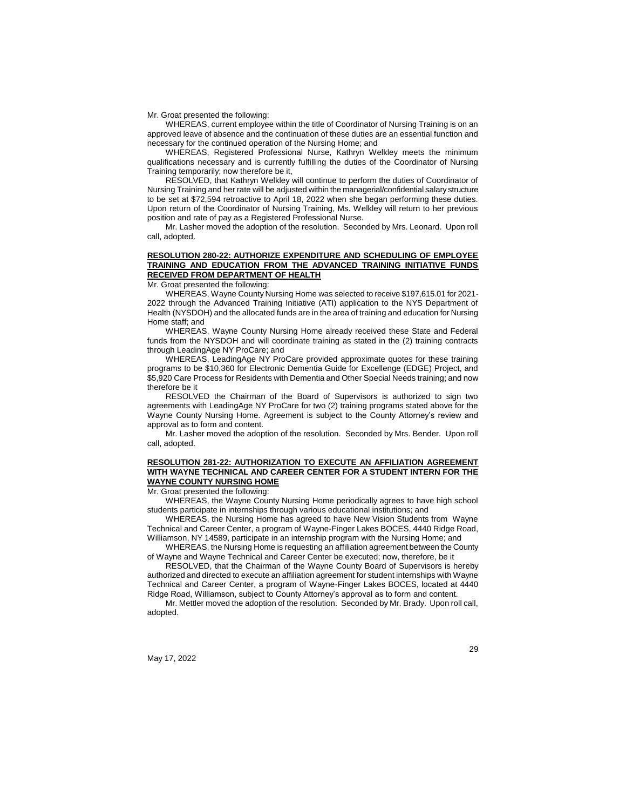Mr. Groat presented the following:

WHEREAS, current employee within the title of Coordinator of Nursing Training is on an approved leave of absence and the continuation of these duties are an essential function and necessary for the continued operation of the Nursing Home; and

WHEREAS, Registered Professional Nurse, Kathryn Welkley meets the minimum qualifications necessary and is currently fulfilling the duties of the Coordinator of Nursing Training temporarily; now therefore be it,

RESOLVED, that Kathryn Welkley will continue to perform the duties of Coordinator of Nursing Training and her rate will be adjusted within the managerial/confidential salary structure to be set at \$72,594 retroactive to April 18, 2022 when she began performing these duties. Upon return of the Coordinator of Nursing Training, Ms. Welkley will return to her previous position and rate of pay as a Registered Professional Nurse.

Mr. Lasher moved the adoption of the resolution. Seconded by Mrs. Leonard. Upon roll call, adopted.

# **RESOLUTION 280-22: AUTHORIZE EXPENDITURE AND SCHEDULING OF EMPLOYEE TRAINING AND EDUCATION FROM THE ADVANCED TRAINING INITIATIVE FUNDS RECEIVED FROM DEPARTMENT OF HEALTH**

Mr. Groat presented the following:

WHEREAS, Wayne County Nursing Home was selected to receive \$197,615.01 for 2021- 2022 through the Advanced Training Initiative (ATI) application to the NYS Department of Health (NYSDOH) and the allocated funds are in the area of training and education for Nursing Home staff; and

WHEREAS, Wayne County Nursing Home already received these State and Federal funds from the NYSDOH and will coordinate training as stated in the (2) training contracts through LeadingAge NY ProCare; and

WHEREAS, LeadingAge NY ProCare provided approximate quotes for these training programs to be \$10,360 for Electronic Dementia Guide for Excellenge (EDGE) Project, and \$5,920 Care Process for Residents with Dementia and Other Special Needs training; and now therefore be it

RESOLVED the Chairman of the Board of Supervisors is authorized to sign two agreements with LeadingAge NY ProCare for two (2) training programs stated above for the Wayne County Nursing Home. Agreement is subject to the County Attorney's review and approval as to form and content.

Mr. Lasher moved the adoption of the resolution. Seconded by Mrs. Bender. Upon roll call, adopted.

# **RESOLUTION 281-22: AUTHORIZATION TO EXECUTE AN AFFILIATION AGREEMENT WITH WAYNE TECHNICAL AND CAREER CENTER FOR A STUDENT INTERN FOR THE WAYNE COUNTY NURSING HOME**

Mr. Groat presented the following:

WHEREAS, the Wayne County Nursing Home periodically agrees to have high school students participate in internships through various educational institutions; and

WHEREAS, the Nursing Home has agreed to have New Vision Students from Wayne Technical and Career Center, a program of Wayne-Finger Lakes BOCES, 4440 Ridge Road, Williamson, NY 14589, participate in an internship program with the Nursing Home; and

WHEREAS, the Nursing Home is requesting an affiliation agreement between the County of Wayne and Wayne Technical and Career Center be executed; now, therefore, be it

RESOLVED, that the Chairman of the Wayne County Board of Supervisors is hereby authorized and directed to execute an affiliation agreement for student internships with Wayne Technical and Career Center, a program of Wayne-Finger Lakes BOCES, located at 4440 Ridge Road, Williamson, subject to County Attorney's approval as to form and content.

Mr. Mettler moved the adoption of the resolution. Seconded by Mr. Brady. Upon roll call, adopted.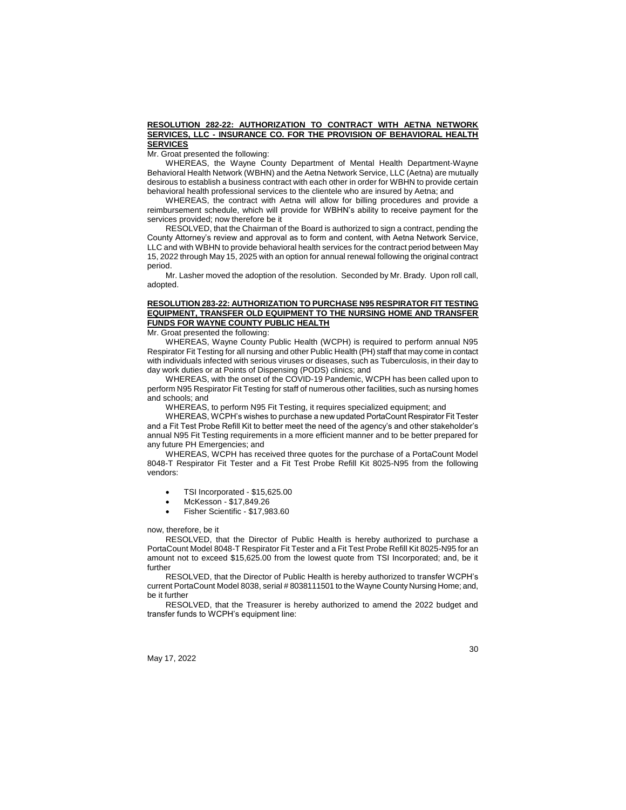#### **RESOLUTION 282-22: AUTHORIZATION TO CONTRACT WITH AETNA NETWORK SERVICES, LLC - INSURANCE CO. FOR THE PROVISION OF BEHAVIORAL HEALTH SERVICES**

Mr. Groat presented the following:

WHEREAS, the Wayne County Department of Mental Health Department-Wayne Behavioral Health Network (WBHN) and the Aetna Network Service, LLC (Aetna) are mutually desirous to establish a business contract with each other in order for WBHN to provide certain behavioral health professional services to the clientele who are insured by Aetna; and

WHEREAS, the contract with Aetna will allow for billing procedures and provide a reimbursement schedule, which will provide for WBHN's ability to receive payment for the services provided; now therefore be it

RESOLVED, that the Chairman of the Board is authorized to sign a contract, pending the County Attorney's review and approval as to form and content, with Aetna Network Service, LLC and with WBHN to provide behavioral health services for the contract period between May 15, 2022 through May 15, 2025 with an option for annual renewal following the original contract period.

Mr. Lasher moved the adoption of the resolution. Seconded by Mr. Brady. Upon roll call, adopted.

# **RESOLUTION 283-22: AUTHORIZATION TO PURCHASE N95 RESPIRATOR FIT TESTING EQUIPMENT, TRANSFER OLD EQUIPMENT TO THE NURSING HOME AND TRANSFER FUNDS FOR WAYNE COUNTY PUBLIC HEALTH**

Mr. Groat presented the following:

WHEREAS, Wayne County Public Health (WCPH) is required to perform annual N95 Respirator Fit Testing for all nursing and other Public Health (PH) staff that may come in contact with individuals infected with serious viruses or diseases, such as Tuberculosis, in their day to day work duties or at Points of Dispensing (PODS) clinics; and

WHEREAS, with the onset of the COVID-19 Pandemic, WCPH has been called upon to perform N95 Respirator Fit Testing for staff of numerous other facilities, such as nursing homes and schools; and

WHEREAS, to perform N95 Fit Testing, it requires specialized equipment; and

WHEREAS, WCPH's wishes to purchase a new updated PortaCount Respirator Fit Tester and a Fit Test Probe Refill Kit to better meet the need of the agency's and other stakeholder's annual N95 Fit Testing requirements in a more efficient manner and to be better prepared for any future PH Emergencies; and

WHEREAS, WCPH has received three quotes for the purchase of a PortaCount Model 8048-T Respirator Fit Tester and a Fit Test Probe Refill Kit 8025-N95 from the following vendors:

- TSI Incorporated \$15,625.00
- McKesson \$17,849.26
- Fisher Scientific \$17,983.60

now, therefore, be it

RESOLVED, that the Director of Public Health is hereby authorized to purchase a PortaCount Model 8048-T Respirator Fit Tester and a Fit Test Probe Refill Kit 8025-N95 for an amount not to exceed \$15,625.00 from the lowest quote from TSI Incorporated; and, be it further

RESOLVED, that the Director of Public Health is hereby authorized to transfer WCPH's current PortaCount Model 8038, serial # 8038111501 to the Wayne County Nursing Home; and, be it further

RESOLVED, that the Treasurer is hereby authorized to amend the 2022 budget and transfer funds to WCPH's equipment line:

May 17, 2022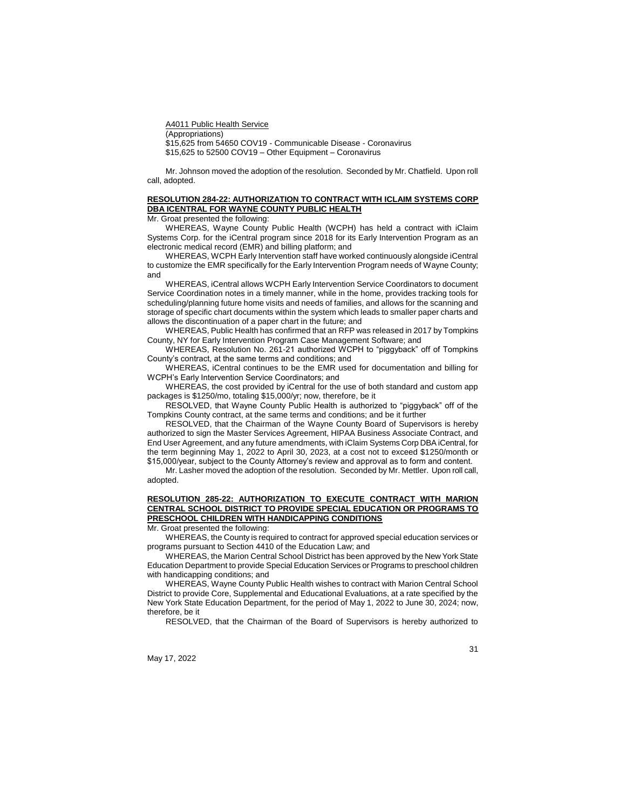A4011 Public Health Service (Appropriations) \$15,625 from 54650 COV19 - Communicable Disease - Coronavirus

\$15,625 to 52500 COV19 – Other Equipment – Coronavirus

Mr. Johnson moved the adoption of the resolution. Seconded by Mr. Chatfield. Upon roll call, adopted.

## **RESOLUTION 284-22: AUTHORIZATION TO CONTRACT WITH ICLAIM SYSTEMS CORP DBA ICENTRAL FOR WAYNE COUNTY PUBLIC HEALTH**

Mr. Groat presented the following:

WHEREAS, Wayne County Public Health (WCPH) has held a contract with iClaim Systems Corp. for the iCentral program since 2018 for its Early Intervention Program as an electronic medical record (EMR) and billing platform; and

WHEREAS, WCPH Early Intervention staff have worked continuously alongside iCentral to customize the EMR specifically for the Early Intervention Program needs of Wayne County; and

WHEREAS, iCentral allows WCPH Early Intervention Service Coordinators to document Service Coordination notes in a timely manner, while in the home, provides tracking tools for scheduling/planning future home visits and needs of families, and allows for the scanning and storage of specific chart documents within the system which leads to smaller paper charts and allows the discontinuation of a paper chart in the future; and

WHEREAS, Public Health has confirmed that an RFP was released in 2017 by Tompkins County, NY for Early Intervention Program Case Management Software; and

WHEREAS, Resolution No. 261-21 authorized WCPH to "piggyback" off of Tompkins County's contract, at the same terms and conditions; and

WHEREAS, iCentral continues to be the EMR used for documentation and billing for WCPH's Early Intervention Service Coordinators; and

WHEREAS, the cost provided by iCentral for the use of both standard and custom app packages is \$1250/mo, totaling \$15,000/yr; now, therefore, be it

RESOLVED, that Wayne County Public Health is authorized to "piggyback" off of the Tompkins County contract, at the same terms and conditions; and be it further

RESOLVED, that the Chairman of the Wayne County Board of Supervisors is hereby authorized to sign the Master Services Agreement, HIPAA Business Associate Contract, and End User Agreement, and any future amendments, with iClaim Systems Corp DBA iCentral, for the term beginning May 1, 2022 to April 30, 2023, at a cost not to exceed \$1250/month or \$15,000/year, subject to the County Attorney's review and approval as to form and content.

Mr. Lasher moved the adoption of the resolution. Seconded by Mr. Mettler. Upon roll call, adopted.

# **RESOLUTION 285-22: AUTHORIZATION TO EXECUTE CONTRACT WITH MARION CENTRAL SCHOOL DISTRICT TO PROVIDE SPECIAL EDUCATION OR PROGRAMS TO PRESCHOOL CHILDREN WITH HANDICAPPING CONDITIONS**

Mr. Groat presented the following:

WHEREAS, the County is required to contract for approved special education services or programs pursuant to Section 4410 of the Education Law; and

WHEREAS, the Marion Central School District has been approved by the New York State Education Department to provide Special Education Services or Programs to preschool children with handicapping conditions; and

WHEREAS, Wayne County Public Health wishes to contract with Marion Central School District to provide Core, Supplemental and Educational Evaluations, at a rate specified by the New York State Education Department, for the period of May 1, 2022 to June 30, 2024; now, therefore, be it

RESOLVED, that the Chairman of the Board of Supervisors is hereby authorized to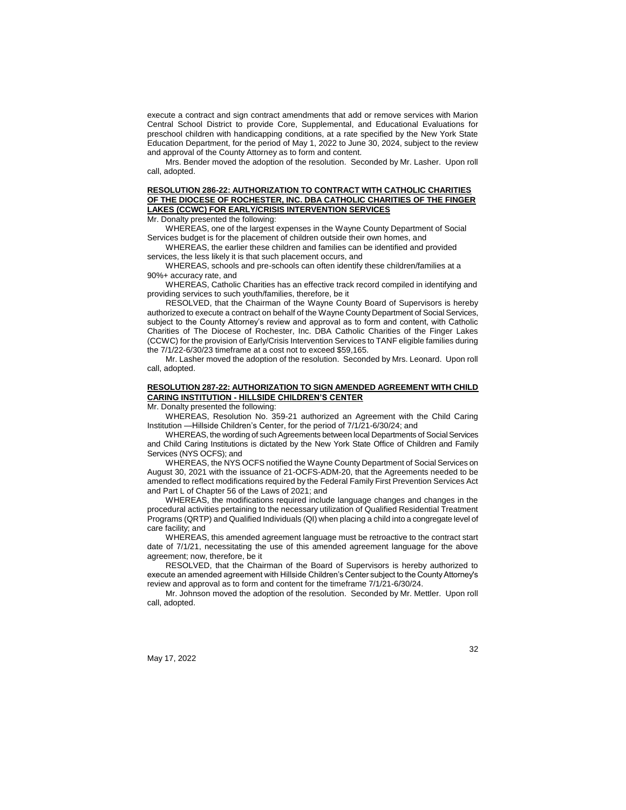execute a contract and sign contract amendments that add or remove services with Marion Central School District to provide Core, Supplemental, and Educational Evaluations for preschool children with handicapping conditions, at a rate specified by the New York State Education Department, for the period of May 1, 2022 to June 30, 2024, subject to the review and approval of the County Attorney as to form and content.

Mrs. Bender moved the adoption of the resolution. Seconded by Mr. Lasher. Upon roll call, adopted.

#### **RESOLUTION 286-22: AUTHORIZATION TO CONTRACT WITH CATHOLIC CHARITIES OF THE DIOCESE OF ROCHESTER, INC. DBA CATHOLIC CHARITIES OF THE FINGER LAKES (CCWC) FOR EARLY/CRISIS INTERVENTION SERVICES**

Mr. Donalty presented the following:

WHEREAS, one of the largest expenses in the Wayne County Department of Social Services budget is for the placement of children outside their own homes, and

WHEREAS, the earlier these children and families can be identified and provided services, the less likely it is that such placement occurs, and

WHEREAS, schools and pre-schools can often identify these children/families at a 90%+ accuracy rate, and

WHEREAS, Catholic Charities has an effective track record compiled in identifying and providing services to such youth/families, therefore, be it

RESOLVED, that the Chairman of the Wayne County Board of Supervisors is hereby authorized to execute a contract on behalf of the Wayne County Department of Social Services, subject to the County Attorney's review and approval as to form and content, with Catholic Charities of The Diocese of Rochester, Inc. DBA Catholic Charities of the Finger Lakes (CCWC) for the provision of Early/Crisis Intervention Services to TANF eligible families during the 7/1/22-6/30/23 timeframe at a cost not to exceed \$59,165.

Mr. Lasher moved the adoption of the resolution. Seconded by Mrs. Leonard. Upon roll call, adopted.

## **RESOLUTION 287-22: AUTHORIZATION TO SIGN AMENDED AGREEMENT WITH CHILD CARING INSTITUTION - HILLSIDE CHILDREN'S CENTER**

Mr. Donalty presented the following:

WHEREAS, Resolution No. 359-21 authorized an Agreement with the Child Caring Institution —Hillside Children's Center, for the period of 7/1/21-6/30/24; and

WHEREAS, the wording of such Agreements between local Departments of Social Services and Child Caring Institutions is dictated by the New York State Office of Children and Family Services (NYS OCFS); and

WHEREAS, the NYS OCFS notified the Wayne County Department of Social Services on August 30, 2021 with the issuance of 21-OCFS-ADM-20, that the Agreements needed to be amended to reflect modifications required by the Federal Family First Prevention Services Act and Part L of Chapter 56 of the Laws of 2021; and

WHEREAS, the modifications required include language changes and changes in the procedural activities pertaining to the necessary utilization of Qualified Residential Treatment Programs (QRTP) and Qualified Individuals (QI) when placing a child into a congregate level of care facility; and

WHEREAS, this amended agreement language must be retroactive to the contract start date of 7/1/21, necessitating the use of this amended agreement language for the above agreement; now, therefore, be it

RESOLVED, that the Chairman of the Board of Supervisors is hereby authorized to execute an amended agreement with Hillside Children's Center subject to the County Attorney's review and approval as to form and content for the timeframe 7/1/21-6/30/24.

Mr. Johnson moved the adoption of the resolution. Seconded by Mr. Mettler. Upon roll call, adopted.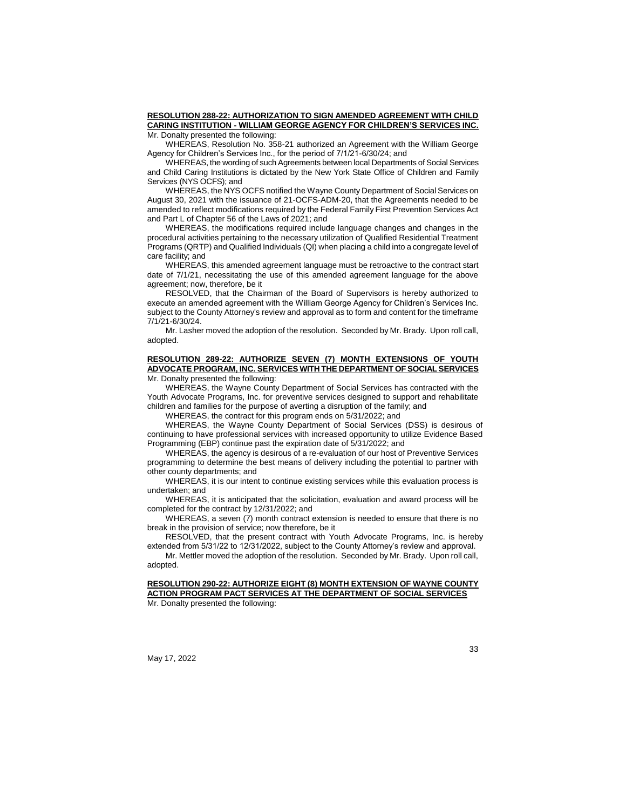#### **RESOLUTION 288-22: AUTHORIZATION TO SIGN AMENDED AGREEMENT WITH CHILD CARING INSTITUTION - WILLIAM GEORGE AGENCY FOR CHILDREN'S SERVICES INC.** Mr. Donalty presented the following:

WHEREAS, Resolution No. 358-21 authorized an Agreement with the William George Agency for Children's Services Inc., for the period of 7/1/21-6/30/24; and

WHEREAS, the wording of such Agreements between local Departments of Social Services and Child Caring Institutions is dictated by the New York State Office of Children and Family Services (NYS OCFS); and

WHEREAS, the NYS OCFS notified the Wayne County Department of Social Services on August 30, 2021 with the issuance of 21-OCFS-ADM-20, that the Agreements needed to be amended to reflect modifications required by the Federal Family First Prevention Services Act and Part L of Chapter 56 of the Laws of 2021; and

WHEREAS, the modifications required include language changes and changes in the procedural activities pertaining to the necessary utilization of Qualified Residential Treatment Programs (QRTP) and Qualified Individuals (QI) when placing a child into a congregate level of care facility; and

WHEREAS, this amended agreement language must be retroactive to the contract start date of 7/1/21, necessitating the use of this amended agreement language for the above agreement; now, therefore, be it

RESOLVED, that the Chairman of the Board of Supervisors is hereby authorized to execute an amended agreement with the William George Agency for Children's Services Inc. subject to the County Attorney's review and approval as to form and content for the timeframe 7/1/21-6/30/24.

Mr. Lasher moved the adoption of the resolution. Seconded by Mr. Brady. Upon roll call, adopted.

#### **RESOLUTION 289-22: AUTHORIZE SEVEN (7) MONTH EXTENSIONS OF YOUTH ADVOCATE PROGRAM, INC. SERVICES WITH THE DEPARTMENT OF SOCIAL SERVICES** Mr. Donalty presented the following:

WHEREAS, the Wayne County Department of Social Services has contracted with the Youth Advocate Programs, Inc. for preventive services designed to support and rehabilitate children and families for the purpose of averting a disruption of the family; and

WHEREAS, the contract for this program ends on 5/31/2022; and

WHEREAS, the Wayne County Department of Social Services (DSS) is desirous of continuing to have professional services with increased opportunity to utilize Evidence Based Programming (EBP) continue past the expiration date of 5/31/2022; and

WHEREAS, the agency is desirous of a re-evaluation of our host of Preventive Services programming to determine the best means of delivery including the potential to partner with other county departments; and

WHEREAS, it is our intent to continue existing services while this evaluation process is undertaken; and

WHEREAS, it is anticipated that the solicitation, evaluation and award process will be completed for the contract by 12/31/2022; and

WHEREAS, a seven (7) month contract extension is needed to ensure that there is no break in the provision of service; now therefore, be it

RESOLVED, that the present contract with Youth Advocate Programs, Inc. is hereby extended from 5/31/22 to 12/31/2022, subject to the County Attorney's review and approval.

Mr. Mettler moved the adoption of the resolution. Seconded by Mr. Brady. Upon roll call, adopted.

#### **RESOLUTION 290-22: AUTHORIZE EIGHT (8) MONTH EXTENSION OF WAYNE COUNTY ACTION PROGRAM PACT SERVICES AT THE DEPARTMENT OF SOCIAL SERVICES**  Mr. Donalty presented the following: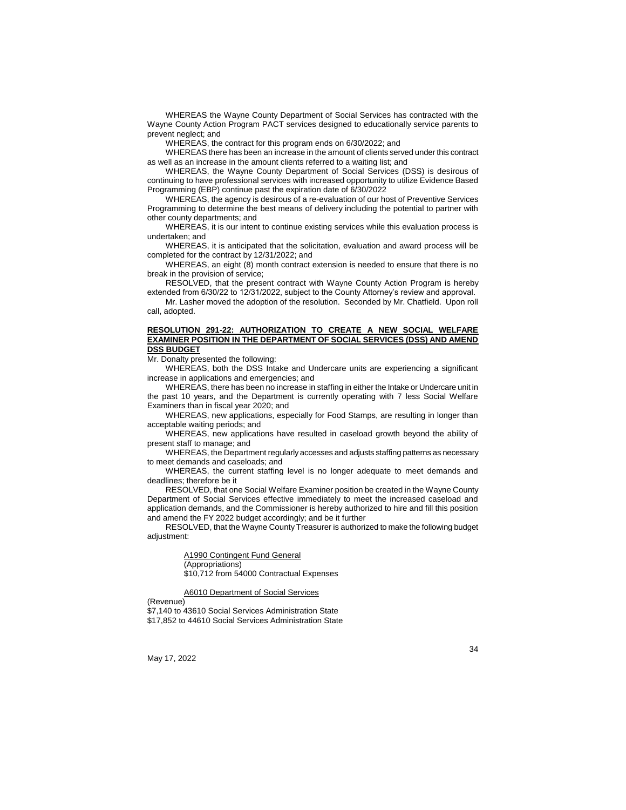WHEREAS the Wayne County Department of Social Services has contracted with the Wayne County Action Program PACT services designed to educationally service parents to prevent neglect; and

WHEREAS, the contract for this program ends on 6/30/2022; and

WHEREAS there has been an increase in the amount of clients served under this contract as well as an increase in the amount clients referred to a waiting list; and

WHEREAS, the Wayne County Department of Social Services (DSS) is desirous of continuing to have professional services with increased opportunity to utilize Evidence Based Programming (EBP) continue past the expiration date of 6/30/2022

WHEREAS, the agency is desirous of a re-evaluation of our host of Preventive Services Programming to determine the best means of delivery including the potential to partner with other county departments; and

WHEREAS, it is our intent to continue existing services while this evaluation process is undertaken; and

WHEREAS, it is anticipated that the solicitation, evaluation and award process will be completed for the contract by 12/31/2022; and

WHEREAS, an eight (8) month contract extension is needed to ensure that there is no break in the provision of service;

RESOLVED, that the present contract with Wayne County Action Program is hereby extended from 6/30/22 to 12/31/2022, subject to the County Attorney's review and approval.

Mr. Lasher moved the adoption of the resolution. Seconded by Mr. Chatfield. Upon roll call, adopted.

#### **RESOLUTION 291-22: AUTHORIZATION TO CREATE A NEW SOCIAL WELFARE EXAMINER POSITION IN THE DEPARTMENT OF SOCIAL SERVICES (DSS) AND AMEND DSS BUDGET**

Mr. Donalty presented the following:

WHEREAS, both the DSS Intake and Undercare units are experiencing a significant increase in applications and emergencies; and

WHEREAS, there has been no increase in staffing in either the Intake or Undercare unit in the past 10 years, and the Department is currently operating with 7 less Social Welfare Examiners than in fiscal year 2020; and

WHEREAS, new applications, especially for Food Stamps, are resulting in longer than acceptable waiting periods; and

WHEREAS, new applications have resulted in caseload growth beyond the ability of present staff to manage; and

WHEREAS, the Department regularly accesses and adjusts staffing patterns as necessary to meet demands and caseloads; and

WHEREAS, the current staffing level is no longer adequate to meet demands and deadlines; therefore be it

RESOLVED, that one Social Welfare Examiner position be created in the Wayne County Department of Social Services effective immediately to meet the increased caseload and application demands, and the Commissioner is hereby authorized to hire and fill this position and amend the FY 2022 budget accordingly; and be it further

RESOLVED, that the Wayne County Treasurer is authorized to make the following budget adjustment:

> A1990 Contingent Fund General (Appropriations) \$10,712 from 54000 Contractual Expenses

A6010 Department of Social Services

(Revenue)

\$7,140 to 43610 Social Services Administration State \$17,852 to 44610 Social Services Administration State

May 17, 2022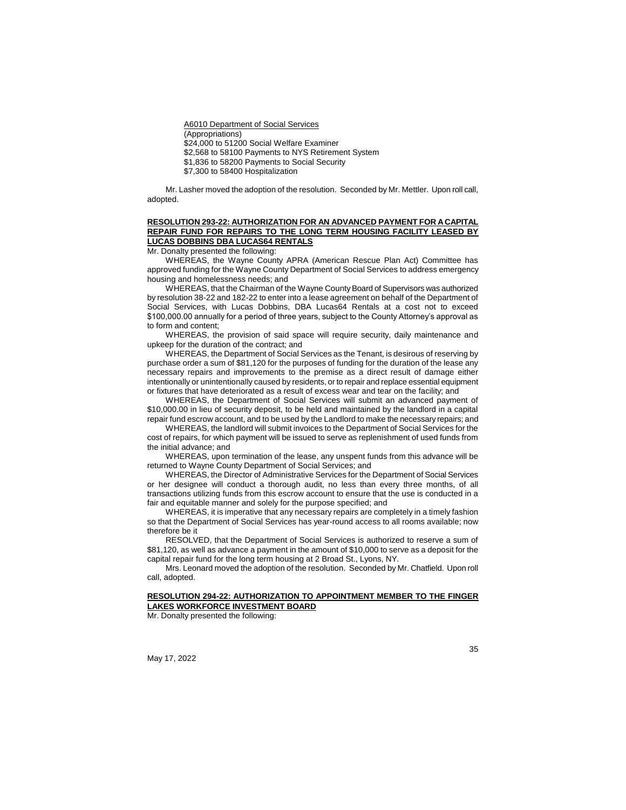A6010 Department of Social Services

(Appropriations)

\$24,000 to 51200 Social Welfare Examiner

\$2,568 to 58100 Payments to NYS Retirement System

\$1,836 to 58200 Payments to Social Security

\$7,300 to 58400 Hospitalization

Mr. Lasher moved the adoption of the resolution. Seconded by Mr. Mettler. Upon roll call, adopted.

# **RESOLUTION 293-22: AUTHORIZATION FOR AN ADVANCED PAYMENT FOR A CAPITAL REPAIR FUND FOR REPAIRS TO THE LONG TERM HOUSING FACILITY LEASED BY LUCAS DOBBINS DBA LUCAS64 RENTALS**

Mr. Donalty presented the following:

WHEREAS, the Wayne County APRA (American Rescue Plan Act) Committee has approved funding for the Wayne County Department of Social Services to address emergency housing and homelessness needs; and

WHEREAS, that the Chairman of the Wayne County Board of Supervisors was authorized by resolution 38-22 and 182-22 to enter into a lease agreement on behalf of the Department of Social Services, with Lucas Dobbins, DBA Lucas64 Rentals at a cost not to exceed \$100,000.00 annually for a period of three years, subject to the County Attorney's approval as to form and content;

WHEREAS, the provision of said space will require security, daily maintenance and upkeep for the duration of the contract; and

WHEREAS, the Department of Social Services as the Tenant, is desirous of reserving by purchase order a sum of \$81,120 for the purposes of funding for the duration of the lease any necessary repairs and improvements to the premise as a direct result of damage either intentionally or unintentionally caused by residents, or to repair and replace essential equipment or fixtures that have deteriorated as a result of excess wear and tear on the facility; and

WHEREAS, the Department of Social Services will submit an advanced payment of \$10,000.00 in lieu of security deposit, to be held and maintained by the landlord in a capital repair fund escrow account, and to be used by the Landlord to make the necessary repairs; and

WHEREAS, the landlord will submit invoices to the Department of Social Services for the cost of repairs, for which payment will be issued to serve as replenishment of used funds from the initial advance; and

WHEREAS, upon termination of the lease, any unspent funds from this advance will be returned to Wayne County Department of Social Services; and

WHEREAS, the Director of Administrative Services for the Department of Social Services or her designee will conduct a thorough audit, no less than every three months, of all transactions utilizing funds from this escrow account to ensure that the use is conducted in a fair and equitable manner and solely for the purpose specified; and

WHEREAS, it is imperative that any necessary repairs are completely in a timely fashion so that the Department of Social Services has year-round access to all rooms available; now therefore be it

RESOLVED, that the Department of Social Services is authorized to reserve a sum of \$81,120, as well as advance a payment in the amount of \$10,000 to serve as a deposit for the capital repair fund for the long term housing at 2 Broad St., Lyons, NY.

Mrs. Leonard moved the adoption of the resolution. Seconded by Mr. Chatfield. Upon roll call, adopted.

## **RESOLUTION 294-22: AUTHORIZATION TO APPOINTMENT MEMBER TO THE FINGER LAKES WORKFORCE INVESTMENT BOARD**

Mr. Donalty presented the following: